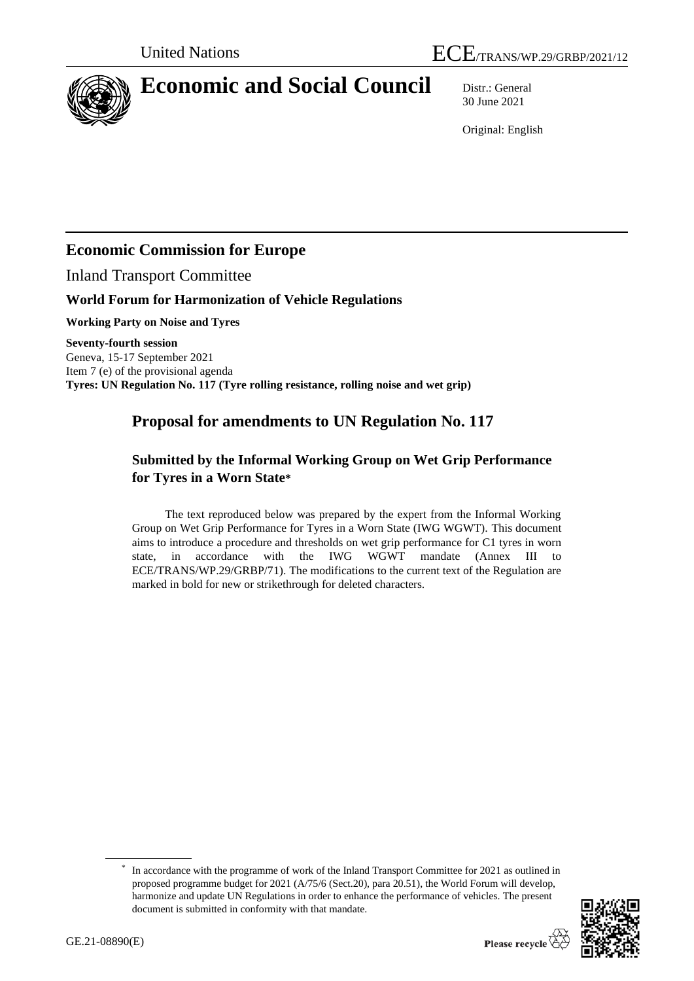

# **Economic and Social Council** Distr.: General

30 June 2021

Original: English

# **Economic Commission for Europe**

Inland Transport Committee

## **World Forum for Harmonization of Vehicle Regulations**

**Working Party on Noise and Tyres**

**Seventy-fourth session**  Geneva, 15-17 September 2021 Item 7 (e) of the provisional agenda **Tyres: UN Regulation No. 117 (Tyre rolling resistance, rolling noise and wet grip)**

# **Proposal for amendments to UN Regulation No. 117**

# **Submitted by the Informal Working Group on Wet Grip Performance for Tyres in a Worn State\***

The text reproduced below was prepared by the expert from the Informal Working Group on Wet Grip Performance for Tyres in a Worn State (IWG WGWT). This document aims to introduce a procedure and thresholds on wet grip performance for C1 tyres in worn state, in accordance with the IWG WGWT mandate (Annex III to ECE/TRANS/WP.29/GRBP/71). The modifications to the current text of the Regulation are marked in bold for new or strikethrough for deleted characters.

<sup>\*</sup> In accordance with the programme of work of the Inland Transport Committee for 2021 as outlined in proposed programme budget for 2021 (A/75/6 (Sect.20), para 20.51), the World Forum will develop, harmonize and update UN Regulations in order to enhance the performance of vehicles. The present document is submitted in conformity with that mandate.

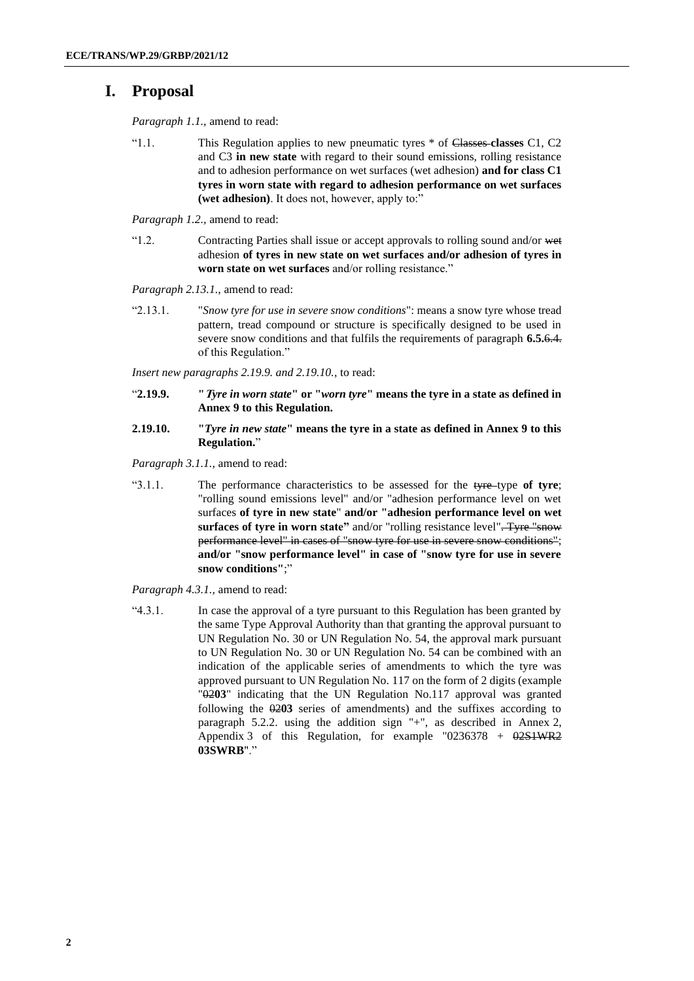# **I. Proposal**

*Paragraph 1.1.,* amend to read:

"1.1. This Regulation applies to new pneumatic tyres \* of Classes **classes** C1, C2 and C3 **in new state** with regard to their sound emissions, rolling resistance and to adhesion performance on wet surfaces (wet adhesion) **and for class C1 tyres in worn state with regard to adhesion performance on wet surfaces (wet adhesion)**. It does not, however, apply to:"

*Paragraph 1.2.,* amend to read:

"1.2. Contracting Parties shall issue or accept approvals to rolling sound and/or wet adhesion **of tyres in new state on wet surfaces and/or adhesion of tyres in worn state on wet surfaces** and/or rolling resistance."

*Paragraph 2.13.1.,* amend to read:

"2.13.1. "*Snow tyre for use in severe snow conditions*": means a snow tyre whose tread pattern, tread compound or structure is specifically designed to be used in severe snow conditions and that fulfils the requirements of paragraph **6.5.**6.4. of this Regulation."

*Insert new paragraphs 2.19.9. and 2.19.10.*, to read:

- "**2.19.9. "T***yre in worn state***" or "***worn tyre***" means the tyre in a state as defined in Annex 9 to this Regulation.**
- **2.19.10. "***Tyre in new state***" means the tyre in a state as defined in Annex 9 to this Regulation.**"

*Paragraph 3.1.1.,* amend to read:

"3.1.1. The performance characteristics to be assessed for the tyre-type of tyre; "rolling sound emissions level" and/or "adhesion performance level on wet surfaces **of tyre in new state**" **and/or "adhesion performance level on wet surfaces of tyre in worn state"** and/or "rolling resistance level". Tyre "snow performance level" in cases of "snow tyre for use in severe snow conditions"; **and/or "snow performance level" in case of "snow tyre for use in severe snow conditions"**;"

*Paragraph 4.3.1.,* amend to read:

"4.3.1. In case the approval of a tyre pursuant to this Regulation has been granted by the same Type Approval Authority than that granting the approval pursuant to UN Regulation No. 30 or UN Regulation No. 54, the approval mark pursuant to UN Regulation No. 30 or UN Regulation No. 54 can be combined with an indication of the applicable series of amendments to which the tyre was approved pursuant to UN Regulation No. 117 on the form of 2 digits (example "02**03**" indicating that the UN Regulation No.117 approval was granted following the  $\theta$ 203 series of amendments) and the suffixes according to paragraph 5.2.2. using the addition sign "+", as described in Annex 2, Appendix 3 of this Regulation, for example  $"0236378 + 0251WR2$ **03SWRB**"."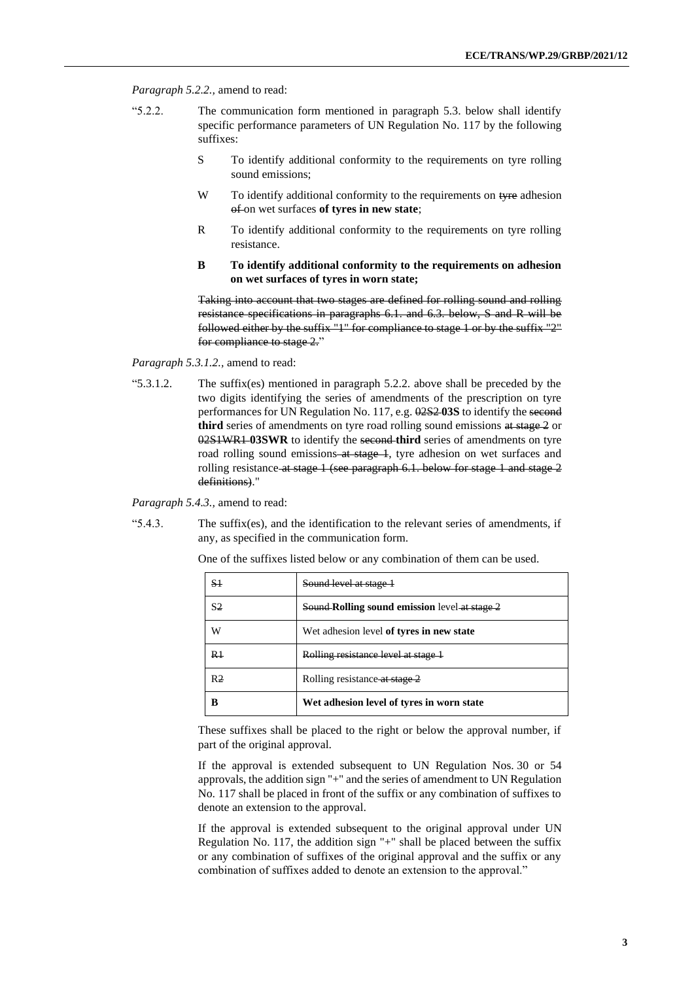*Paragraph 5.2.2.,* amend to read:

- "5.2.2. The communication form mentioned in paragraph 5.3. below shall identify specific performance parameters of UN Regulation No. 117 by the following suffixes:
	- S To identify additional conformity to the requirements on tyre rolling sound emissions;
	- W To identify additional conformity to the requirements on tyre adhesion of on wet surfaces **of tyres in new state**;
	- R To identify additional conformity to the requirements on tyre rolling resistance.
	- **B To identify additional conformity to the requirements on adhesion on wet surfaces of tyres in worn state;**

Taking into account that two stages are defined for rolling sound and rolling resistance specifications in paragraphs 6.1. and 6.3. below, S and R will be followed either by the suffix "1" for compliance to stage 1 or by the suffix "2" for compliance to stage 2."

*Paragraph 5.3.1.2.,* amend to read:

"5.3.1.2. The suffix(es) mentioned in paragraph 5.2.2. above shall be preceded by the two digits identifying the series of amendments of the prescription on tyre performances for UN Regulation No. 117, e.g. 02S2 **03S** to identify the second third series of amendments on tyre road rolling sound emissions at stage 2 or 02S1WR1 **03SWR** to identify the second **third** series of amendments on tyre road rolling sound emissions at stage 1, tyre adhesion on wet surfaces and rolling resistance at stage 1 (see paragraph 6.1. below for stage 1 and stage 2 definitions)."

*Paragraph 5.4.3.,* amend to read:

"5.4.3. The suffix(es), and the identification to the relevant series of amendments, if any, as specified in the communication form.

| S <sub>1</sub> | Sound level at stage 1                               |
|----------------|------------------------------------------------------|
| S2             | <b>Sound-Rolling sound emission</b> level at stage 2 |
| W              | Wet adhesion level of tyres in new state             |
| R1             | Rolling resistance level at stage 1                  |
| R <sub>2</sub> | Rolling resistance at stage 2                        |
| B              | Wet adhesion level of tyres in worn state            |

One of the suffixes listed below or any combination of them can be used.

These suffixes shall be placed to the right or below the approval number, if part of the original approval.

If the approval is extended subsequent to UN Regulation Nos. 30 or 54 approvals, the addition sign "+" and the series of amendment to UN Regulation No. 117 shall be placed in front of the suffix or any combination of suffixes to denote an extension to the approval.

If the approval is extended subsequent to the original approval under UN Regulation No. 117, the addition sign "+" shall be placed between the suffix or any combination of suffixes of the original approval and the suffix or any combination of suffixes added to denote an extension to the approval."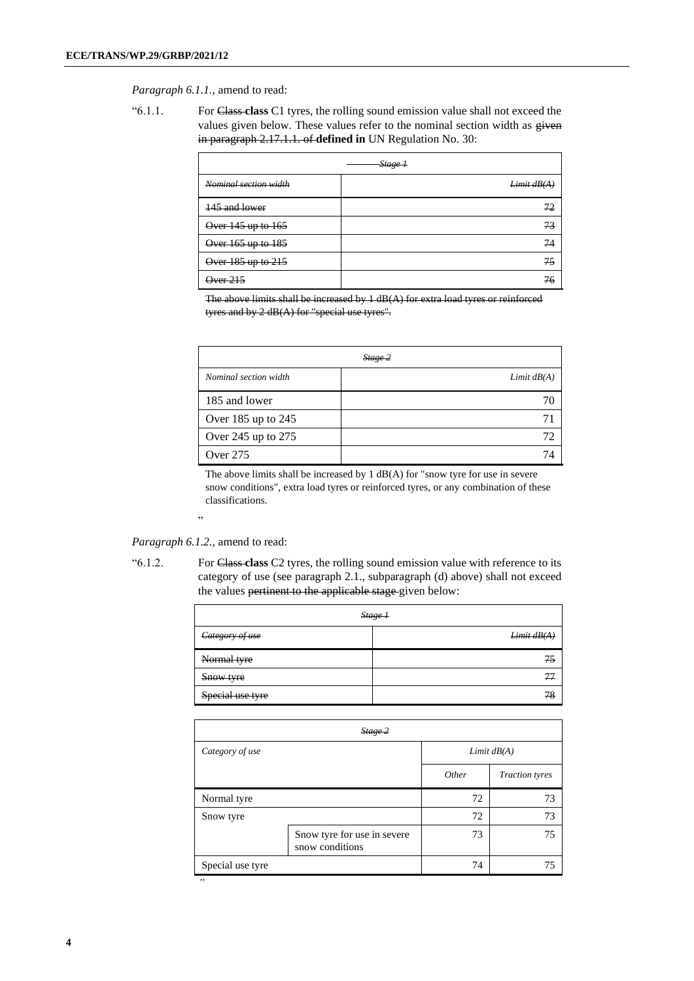*Paragraph 6.1.1.,* amend to read:

"6.1.1. For Class **class** C1 tyres, the rolling sound emission value shall not exceed the values given below. These values refer to the nominal section width as  $g$ iven in paragraph 2.17.1.1. of **defined in** UN Regulation No. 30:

|                       | Stage 1     |
|-----------------------|-------------|
| Nominal section width | Limit dB(A) |
| 145 and lower         | 72          |
| Over 145 up to 165    | 73          |
| Over 165 up to 185    | 74          |
| Over 185 up to 215    | 75          |
| Qver215               | 76          |

The above limits shall be increased by 1 dB(A) for extra load tyres or reinforced tyres and by 2 dB(A) for "special use tyres".

| Stage 2                |               |  |
|------------------------|---------------|--|
| Nominal section width  | Limit $dB(A)$ |  |
| 185 and lower          | 70            |  |
| Over $185$ up to $245$ | 71            |  |
| Over 245 up to 275     | 72            |  |
| Over 275               | 74            |  |

The above limits shall be increased by 1 dB(A) for "snow tyre for use in severe snow conditions", extra load tyres or reinforced tyres, or any combination of these classifications.

"

*Paragraph 6.1.2.,* amend to read:

"6.1.2. For Class **class** C2 tyres, the rolling sound emission value with reference to its category of use (see paragraph 2.1., subparagraph (d) above) shall not exceed the values pertinent to the applicable stage-given below:

|                  | Stage 1    |
|------------------|------------|
| Category of use  | Limit dB(A |
| Normal tyre      | 75         |
| Snow tyre        |            |
| Special use tyre |            |

| Stage 2       |                |  |
|---------------|----------------|--|
| Limit $dB(A)$ |                |  |
| Other         | Traction tyres |  |
| 72            | 73             |  |
| 72            | 73             |  |
| 73            | 75             |  |
| 74            | 75             |  |
|               |                |  |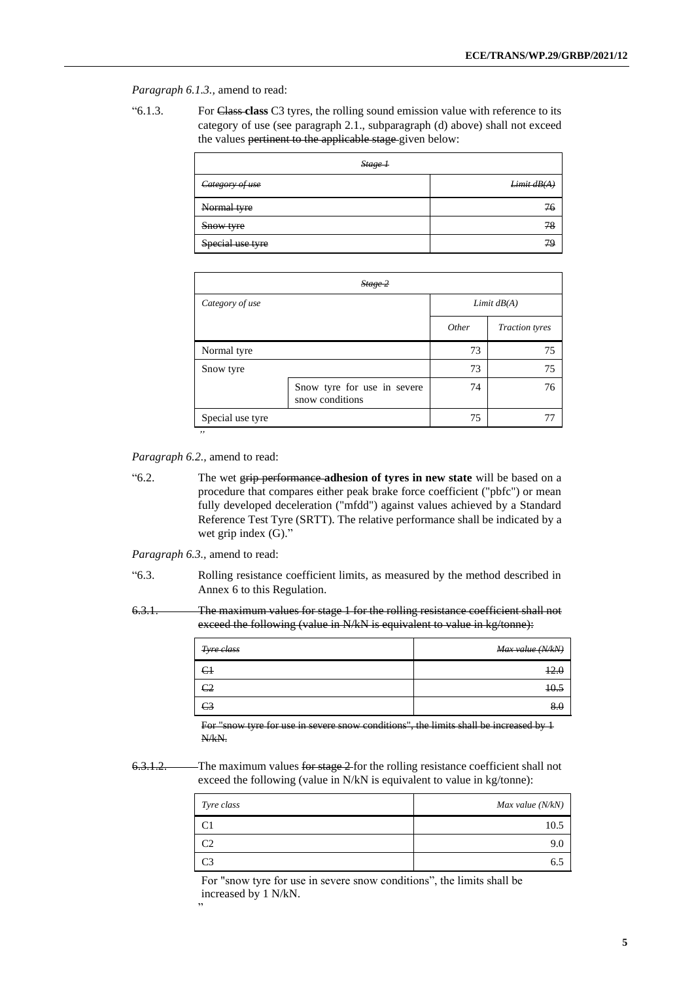*Paragraph 6.1.3.,* amend to read:

| "6.1.3. | For Class-class C3 tyres, the rolling sound emission value with reference to its |
|---------|----------------------------------------------------------------------------------|
|         | category of use (see paragraph 2.1., subparagraph (d) above) shall not exceed    |
|         | the values pertinent to the applicable stage given below:                        |

| Stage 1          |             |
|------------------|-------------|
| Category of use  | Limit dB(A) |
| Normal tyre      | 76          |
| Snow tyre        |             |
| Special use tyre |             |

| Stage 2          |                                                |               |                       |
|------------------|------------------------------------------------|---------------|-----------------------|
| Category of use  |                                                | Limit $dB(A)$ |                       |
|                  |                                                | Other         | <b>Traction</b> tyres |
| Normal tyre      |                                                | 73            | 75                    |
| Snow tyre        |                                                | 73            | 75                    |
|                  | Snow tyre for use in severe<br>snow conditions | 74            | 76                    |
| Special use tyre |                                                | 75            |                       |
| ,,               |                                                |               |                       |

*Paragraph 6.2.,* amend to read:

"6.2. The wet grip performance **adhesion of tyres in new state** will be based on a procedure that compares either peak brake force coefficient ("pbfc") or mean fully developed deceleration ("mfdd") against values achieved by a Standard Reference Test Tyre (SRTT). The relative performance shall be indicated by a wet grip index (G)."

*Paragraph 6.3.,* amend to read:

"6.3. Rolling resistance coefficient limits, as measured by the method described in Annex 6 to this Regulation.

6.3.1. The maximum values for stage 1 for the rolling resistance coefficient shall not exceed the following (value in N/kN is equivalent to value in kg/tonne):

| Tyre class     | Max value (N/kN)        |
|----------------|-------------------------|
| $\epsilon$     | 12 <sub>1</sub><br>12.U |
| C <sub>2</sub> | 10.5                    |
| C <sub>3</sub> |                         |

For "snow tyre for use in severe snow conditions", the limits shall be increased by 1 N/kN.

6.3.1.2. The maximum values for stage 2 for the rolling resistance coefficient shall not exceed the following (value in N/kN is equivalent to value in kg/tonne):

| Tyre class     | Max value (N/kN) |
|----------------|------------------|
| C <sub>1</sub> | 10.5             |
| C <sub>2</sub> | 9.0              |
| C <sub>3</sub> | 6.5              |

For "snow tyre for use in severe snow conditions", the limits shall be increased by 1 N/kN.

"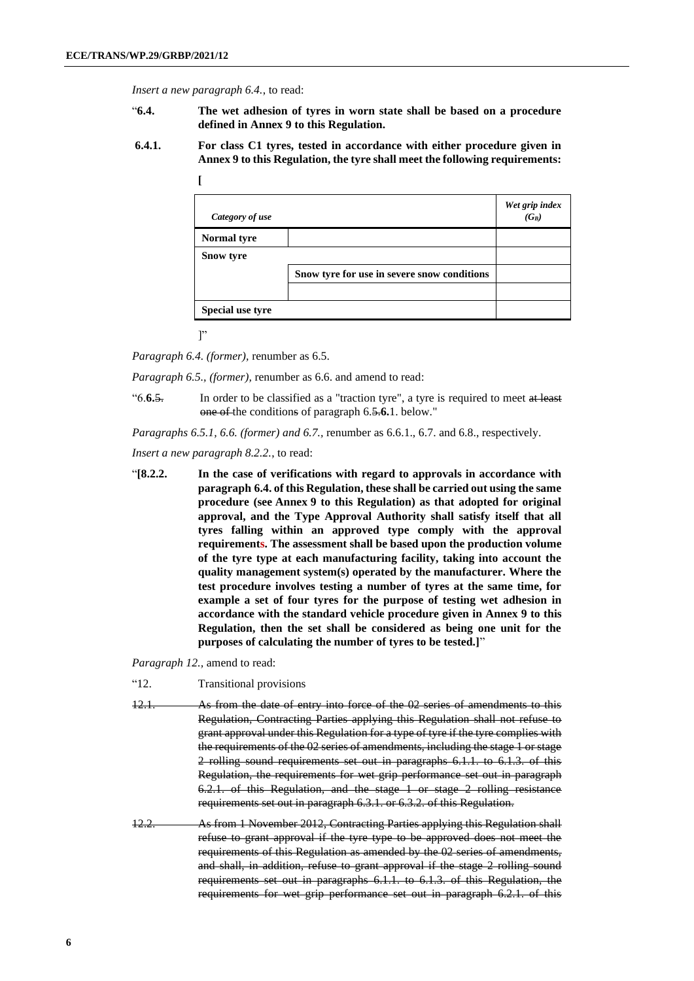*Insert a new paragraph 6.4.*, to read:

- "**6.4. The wet adhesion of tyres in worn state shall be based on a procedure defined in Annex 9 to this Regulation.**
- **6.4.1. For class C1 tyres, tested in accordance with either procedure given in Annex 9 to this Regulation, the tyre shall meet the following requirements:**

| Category of use    |                                             | Wet grip index<br>$(G_B)$ |
|--------------------|---------------------------------------------|---------------------------|
| <b>Normal tyre</b> |                                             |                           |
| <b>Snow tyre</b>   |                                             |                           |
|                    | Snow tyre for use in severe snow conditions |                           |
|                    |                                             |                           |
| Special use tyre   |                                             |                           |

 $\mathbf{I}$ 

**[**

*Paragraph 6.4. (former),* renumber as 6.5.

*Paragraph 6.5., (former),* renumber as 6.6. and amend to read:

"6.**6.**5. In order to be classified as a "traction tyre", a tyre is required to meet at least one of the conditions of paragraph 6.5.**6.**1. below."

*Paragraphs 6.5.1, 6.6. (former) and 6.7.,* renumber as 6.6.1., 6.7. and 6.8., respectively.

*Insert a new paragraph 8.2.2.*, to read:

"**[8.2.2. In the case of verifications with regard to approvals in accordance with paragraph 6.4. of this Regulation, these shall be carried out using the same procedure (see Annex 9 to this Regulation) as that adopted for original approval, and the Type Approval Authority shall satisfy itself that all tyres falling within an approved type comply with the approval requirements. The assessment shall be based upon the production volume of the tyre type at each manufacturing facility, taking into account the quality management system(s) operated by the manufacturer. Where the test procedure involves testing a number of tyres at the same time, for example a set of four tyres for the purpose of testing wet adhesion in accordance with the standard vehicle procedure given in Annex 9 to this Regulation, then the set shall be considered as being one unit for the purposes of calculating the number of tyres to be tested.]**"

*Paragraph 12.,* amend to read:

- "12. Transitional provisions
- 12.1. As from the date of entry into force of the 02 series of amendments to this Regulation, Contracting Parties applying this Regulation shall not refuse to grant approval under this Regulation for a type of tyre if the tyre complies with the requirements of the 02 series of amendments, including the stage 1 or stage 2 rolling sound requirements set out in paragraphs 6.1.1. to 6.1.3. of this Regulation, the requirements for wet grip performance set out in paragraph 6.2.1. of this Regulation, and the stage 1 or stage 2 rolling resistance requirements set out in paragraph 6.3.1. or 6.3.2. of this Regulation.
- 12.2. As from 1 November 2012, Contracting Parties applying this Regulation shall refuse to grant approval if the tyre type to be approved does not meet the requirements of this Regulation as amended by the 02 series of amendments, and shall, in addition, refuse to grant approval if the stage 2 rolling sound requirements set out in paragraphs 6.1.1. to 6.1.3. of this Regulation, the requirements for wet grip performance set out in paragraph 6.2.1. of this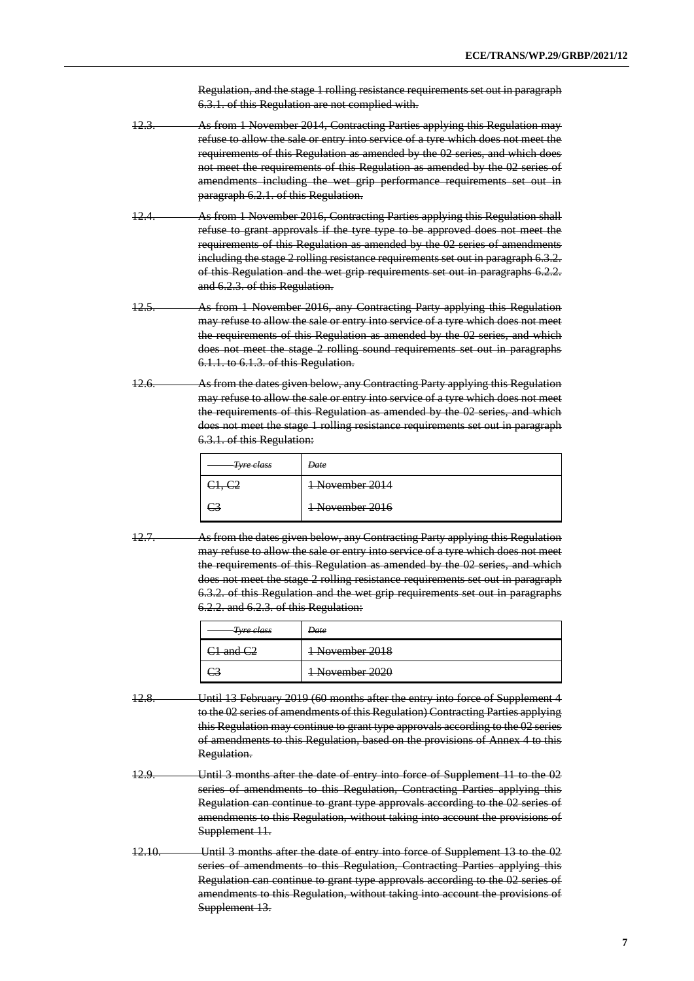Regulation, and the stage 1 rolling resistance requirements set out in paragraph 6.3.1. of this Regulation are not complied with.

- 12.3. As from 1 November 2014, Contracting Parties applying this Regulation may refuse to allow the sale or entry into service of a tyre which does not meet the requirements of this Regulation as amended by the 02 series, and which does not meet the requirements of this Regulation as amended by the 02 series of amendments including the wet grip performance requirements set out in paragraph 6.2.1. of this Regulation.
- 12.4. As from 1 November 2016, Contracting Parties applying this Regulation shall refuse to grant approvals if the tyre type to be approved does not meet the requirements of this Regulation as amended by the 02 series of amendments including the stage 2 rolling resistance requirements set out in paragraph 6.3.2. of this Regulation and the wet grip requirements set out in paragraphs 6.2.2. and 6.2.3. of this Regulation.
- 12.5. As from 1 November 2016, any Contracting Party applying this Regulation may refuse to allow the sale or entry into service of a tyre which does not meet the requirements of this Regulation as amended by the 02 series, and which does not meet the stage 2 rolling sound requirements set out in paragraphs 6.1.1. to 6.1.3. of this Regulation.
- 12.6. As from the dates given below, any Contracting Party applying this Regulation may refuse to allow the sale or entry into service of a tyre which does not meet the requirements of this Regulation as amended by the 02 series, and which does not meet the stage 1 rolling resistance requirements set out in paragraph 6.3.1. of this Regulation:

| <del>Tyre class</del> | <del>Date</del>            |
|-----------------------|----------------------------|
| <del>31, C2</del>     | 1 November 2014            |
|                       | <del>1 November 2016</del> |

12.7. As from the dates given below, any Contracting Party applying this Regulation may refuse to allow the sale or entry into service of a tyre which does not meet the requirements of this Regulation as amended by the 02 series, and which does not meet the stage 2 rolling resistance requirements set out in paragraph 6.3.2. of this Regulation and the wet grip requirements set out in paragraphs 6.2.2. and 6.2.3. of this Regulation:

| <del>Tyre class</del>                                        | Date                                           |
|--------------------------------------------------------------|------------------------------------------------|
| and $C2$<br>$\overline{\text{cm}}$ and $\overline{\text{c}}$ | 1 November 2018                                |
|                                                              | November 2020<br><del>i inoveniloei 2020</del> |

- 12.8. Until 13 February 2019 (60 months after the entry into force of Supplement 4 to the 02 series of amendments of this Regulation) Contracting Parties applying this Regulation may continue to grant type approvals according to the 02 series of amendments to this Regulation, based on the provisions of Annex 4 to this Regulation.
- 12.9. Until 3 months after the date of entry into force of Supplement 11 to the 02 series of amendments to this Regulation, Contracting Parties applying this Regulation can continue to grant type approvals according to the 02 series of amendments to this Regulation, without taking into account the provisions of Supplement 11.
- 12.10. Until 3 months after the date of entry into force of Supplement 13 to the 02 series of amendments to this Regulation, Contracting Parties applying this Regulation can continue to grant type approvals according to the 02 series of amendments to this Regulation, without taking into account the provisions of Supplement 13.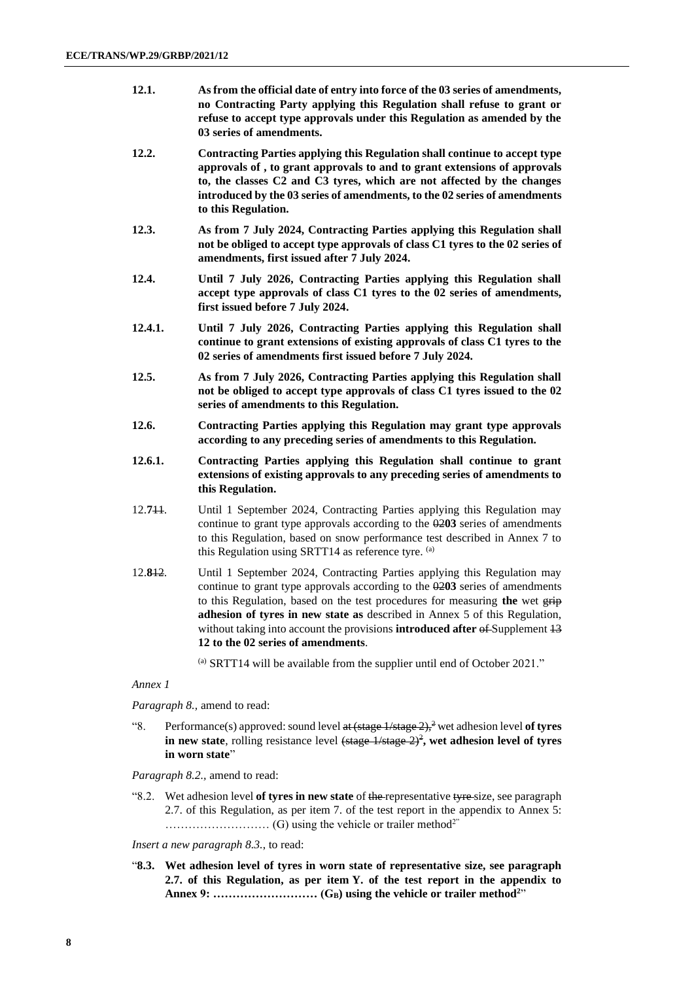| 12.1. | As from the official date of entry into force of the 03 series of amendments, |
|-------|-------------------------------------------------------------------------------|
|       | no Contracting Party applying this Regulation shall refuse to grant or        |
|       | refuse to accept type approvals under this Regulation as amended by the       |
|       | 03 series of amendments.                                                      |

- **12.2. Contracting Parties applying this Regulation shall continue to accept type approvals of , to grant approvals to and to grant extensions of approvals to, the classes C2 and C3 tyres, which are not affected by the changes introduced by the 03 series of amendments, to the 02 series of amendments to this Regulation.**
- **12.3. As from 7 July 2024, Contracting Parties applying this Regulation shall not be obliged to accept type approvals of class C1 tyres to the 02 series of amendments, first issued after 7 July 2024.**
- **12.4. Until 7 July 2026, Contracting Parties applying this Regulation shall accept type approvals of class C1 tyres to the 02 series of amendments, first issued before 7 July 2024.**
- **12.4.1. Until 7 July 2026, Contracting Parties applying this Regulation shall continue to grant extensions of existing approvals of class C1 tyres to the 02 series of amendments first issued before 7 July 2024.**
- **12.5. As from 7 July 2026, Contracting Parties applying this Regulation shall not be obliged to accept type approvals of class C1 tyres issued to the 02 series of amendments to this Regulation.**
- **12.6. Contracting Parties applying this Regulation may grant type approvals according to any preceding series of amendments to this Regulation.**
- **12.6.1. Contracting Parties applying this Regulation shall continue to grant extensions of existing approvals to any preceding series of amendments to this Regulation.**
- 12.**7**11. Until 1 September 2024, Contracting Parties applying this Regulation may continue to grant type approvals according to the 02**03** series of amendments to this Regulation, based on snow performance test described in Annex 7 to this Regulation using SRTT14 as reference tyre.  $(a)$
- 12.**8**12. Until 1 September 2024, Contracting Parties applying this Regulation may continue to grant type approvals according to the 02**03** series of amendments to this Regulation, based on the test procedures for measuring **the** wet grip **adhesion of tyres in new state as** described in Annex 5 of this Regulation, without taking into account the provisions **introduced after of** Supplement  $\frac{13}{12}$ **12 to the 02 series of amendments**.

 $\alpha$ ) SRTT14 will be available from the supplier until end of October 2021."

#### *Annex 1*

*Paragraph 8.,* amend to read:

"8. Performance(s) approved: sound level at (stage 1/stage 2),<sup>2</sup> wet adhesion level of tyres **in new state**, rolling resistance level  $\left(\frac{\text{stage } 1}{\text{stage } 2}\right)^2$ , wet adhesion level of tyres **in worn state**"

*Paragraph 8.2.,* amend to read:

"8.2. Wet adhesion level **of tyres in new state** of the representative tyre size, see paragraph 2.7. of this Regulation, as per item 7. of the test report in the appendix to Annex 5: ……………………… (G) using the vehicle or trailer method2"

*Insert a new paragraph 8.3.*, to read:

"**8.3. Wet adhesion level of tyres in worn state of representative size, see paragraph 2.7. of this Regulation, as per item Y. of the test report in the appendix to Annex 9: ……………………… (GB) using the vehicle or trailer method<sup>2</sup>** "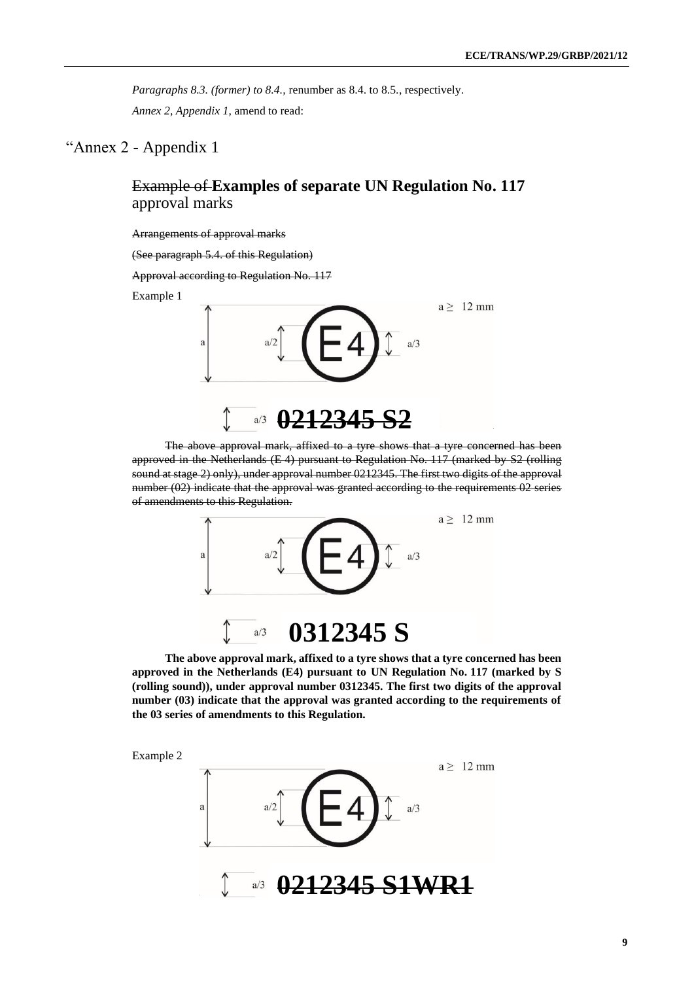*Paragraphs 8.3. (former) to 8.4.,* renumber as 8.4. to 8.5., respectively. *Annex 2, Appendix 1,* amend to read:

### "Annex 2 - Appendix 1

## Example of **Examples of separate UN Regulation No. 117**  approval marks

#### Arrangements of approval marks

(See paragraph 5.4. of this Regulation)

Approval according to Regulation No. 117

Example 1



The above approval mark, affixed to a tyre shows that a tyre concerned has been approved in the Netherlands (E 4) pursuant to Regulation No. 117 (marked by S2 (rolling sound at stage 2) only), under approval number 0212345. The first two digits of the approval number (02) indicate that the approval was granted according to the requirements 02 series of amendments to this Regulation.



**The above approval mark, affixed to a tyre shows that a tyre concerned has been approved in the Netherlands (E4) pursuant to UN Regulation No. 117 (marked by S (rolling sound)), under approval number 0312345. The first two digits of the approval number (03) indicate that the approval was granted according to the requirements of the 03 series of amendments to this Regulation.**



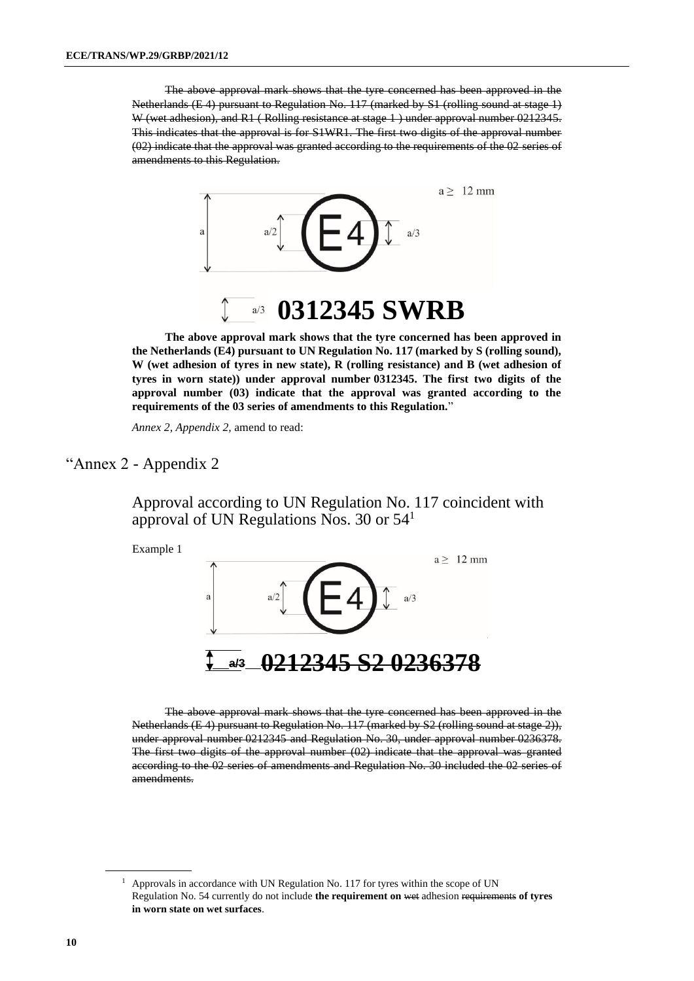The above approval mark shows that the tyre concerned has been approved in the Netherlands (E 4) pursuant to Regulation No. 117 (marked by S1 (rolling sound at stage 1) W (wet adhesion), and R1 (Rolling resistance at stage 1) under approval number 0212345. This indicates that the approval is for S1WR1. The first two digits of the approval number (02) indicate that the approval was granted according to the requirements of the 02 series of amendments to this Regulation.



**The above approval mark shows that the tyre concerned has been approved in the Netherlands (E4) pursuant to UN Regulation No. 117 (marked by S (rolling sound), W (wet adhesion of tyres in new state), R (rolling resistance) and B (wet adhesion of tyres in worn state)) under approval number 0312345. The first two digits of the approval number (03) indicate that the approval was granted according to the requirements of the 03 series of amendments to this Regulation.**"

*Annex 2, Appendix 2,* amend to read:

# "Annex 2 - Appendix 2

Approval according to UN Regulation No. 117 coincident with approval of UN Regulations Nos. 30 or 54<sup>1</sup>

Example 1



The above approval mark shows that the tyre concerned has been approved in the Netherlands (E 4) pursuant to Regulation No. 117 (marked by S2 (rolling sound at stage 2)), under approval number 0212345 and Regulation No. 30, under approval number 0236378. The first two digits of the approval number (02) indicate that the approval was granted according to the 02 series of amendments and Regulation No. 30 included the 02 series of amendments.

 $1$  Approvals in accordance with UN Regulation No. 117 for tyres within the scope of UN Regulation No. 54 currently do not include **the requirement on** wet adhesion requirements **of tyres in worn state on wet surfaces**.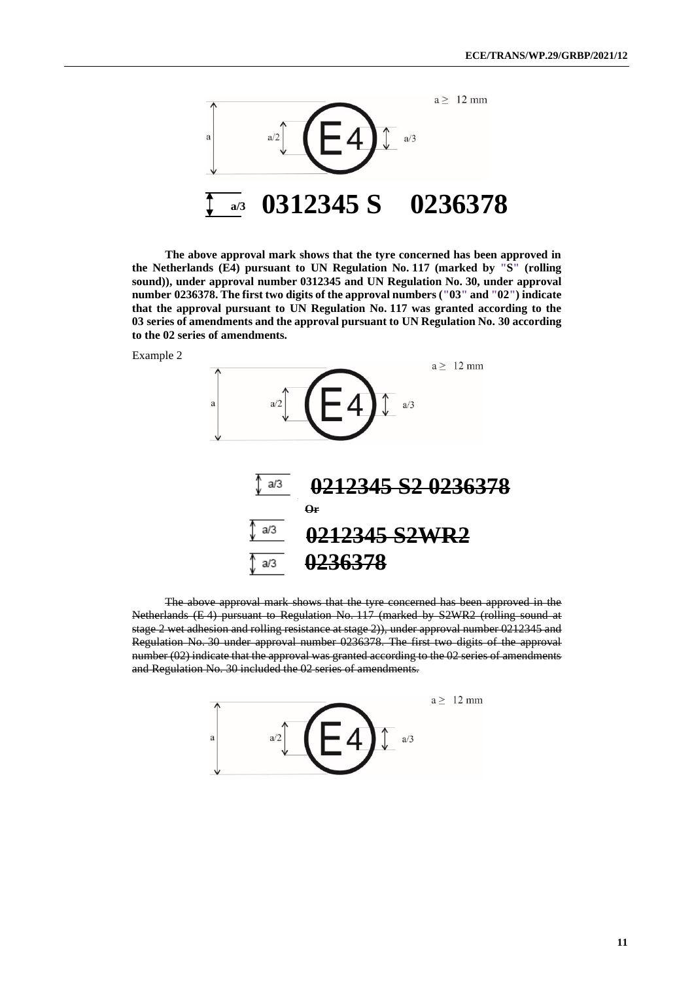

**The above approval mark shows that the tyre concerned has been approved in the Netherlands (E4) pursuant to UN Regulation No. 117 (marked by "S" (rolling sound)), under approval number 0312345 and UN Regulation No. 30, under approval number 0236378. The first two digits of the approval numbers ("03" and "02") indicate that the approval pursuant to UN Regulation No. 117 was granted according to the 03 series of amendments and the approval pursuant to UN Regulation No. 30 according to the 02 series of amendments.**





The above approval mark shows that the tyre concerned has been approved in the Netherlands (E 4) pursuant to Regulation No. 117 (marked by S2WR2 (rolling sound at stage 2 wet adhesion and rolling resistance at stage 2)), under approval number 0212345 and Regulation No. 30 under approval number 0236378. The first two digits of the approval number (02) indicate that the approval was granted according to the 02 series of amendments and Regulation No. 30 included the 02 series of amendments.

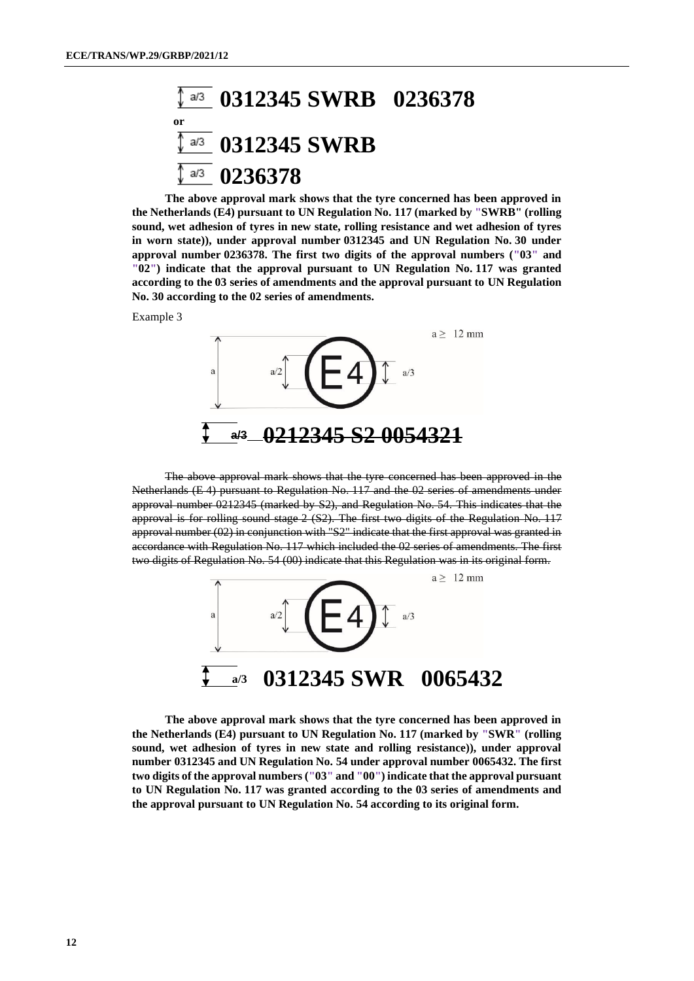### **0312345 SWRB 0236378**  $a/3$ **or 0312345 SWRB**  $a/3$ **0236378**  $a/3$

**The above approval mark shows that the tyre concerned has been approved in the Netherlands (E4) pursuant to UN Regulation No. 117 (marked by "SWRB" (rolling sound, wet adhesion of tyres in new state, rolling resistance and wet adhesion of tyres in worn state)), under approval number 0312345 and UN Regulation No. 30 under approval number 0236378. The first two digits of the approval numbers ("03" and "02") indicate that the approval pursuant to UN Regulation No. 117 was granted according to the 03 series of amendments and the approval pursuant to UN Regulation No. 30 according to the 02 series of amendments.**

Example 3



The above approval mark shows that the tyre concerned has been approved in the Netherlands (E 4) pursuant to Regulation No. 117 and the 02 series of amendments under approval number 0212345 (marked by S2), and Regulation No. 54. This indicates that the approval is for rolling sound stage 2 (S2). The first two digits of the Regulation No. 117 approval number (02) in conjunction with "S2" indicate that the first approval was granted in accordance with Regulation No. 117 which included the 02 series of amendments. The first two digits of Regulation No. 54 (00) indicate that this Regulation was in its original form.



**The above approval mark shows that the tyre concerned has been approved in the Netherlands (E4) pursuant to UN Regulation No. 117 (marked by "SWR" (rolling sound, wet adhesion of tyres in new state and rolling resistance)), under approval number 0312345 and UN Regulation No. 54 under approval number 0065432. The first two digits of the approval numbers ("03" and "00") indicate that the approval pursuant to UN Regulation No. 117 was granted according to the 03 series of amendments and the approval pursuant to UN Regulation No. 54 according to its original form.**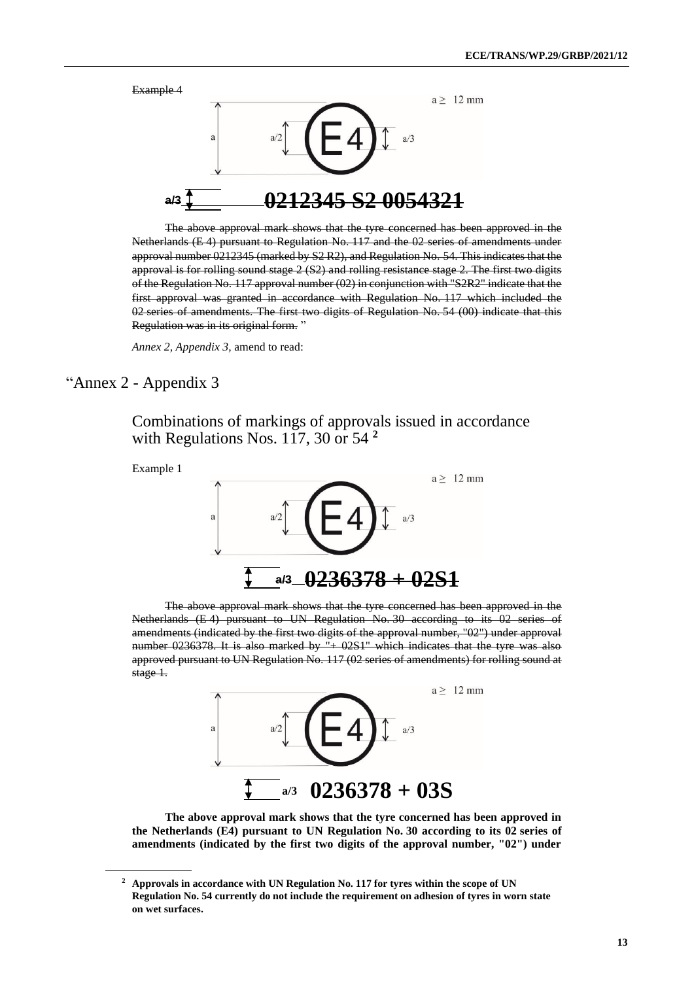

The above approval mark shows that the tyre concerned has been approved in the Netherlands (E 4) pursuant to Regulation No. 117 and the 02 series of amendments under approval number 0212345 (marked by S2 R2), and Regulation No. 54. This indicates that the approval is for rolling sound stage 2 (S2) and rolling resistance stage 2. The first two digits of the Regulation No. 117 approval number (02) in conjunction with "S2R2" indicate that the first approval was granted in accordance with Regulation No. 117 which included the 02 series of amendments. The first two digits of Regulation No. 54 (00) indicate that this Regulation was in its original form. "

*Annex 2, Appendix 3,* amend to read:

## "Annex 2 - Appendix 3

Combinations of markings of approvals issued in accordance with Regulations Nos. 117, 30 or 54 **2**



The above approval mark shows that the tyre concerned has been approved in the Netherlands (E 4) pursuant to UN Regulation No. 30 according to its 02 series of amendments (indicated by the first two digits of the approval number, "02") under approval number 0236378. It is also marked by "+ 02S1" which indicates that the tyre was also approved pursuant to UN Regulation No. 117 (02 series of amendments) for rolling sound at stage 1.



**The above approval mark shows that the tyre concerned has been approved in the Netherlands (E4) pursuant to UN Regulation No. 30 according to its 02 series of amendments (indicated by the first two digits of the approval number, "02") under** 

**<sup>2</sup> Approvals in accordance with UN Regulation No. 117 for tyres within the scope of UN Regulation No. 54 currently do not include the requirement on adhesion of tyres in worn state on wet surfaces.**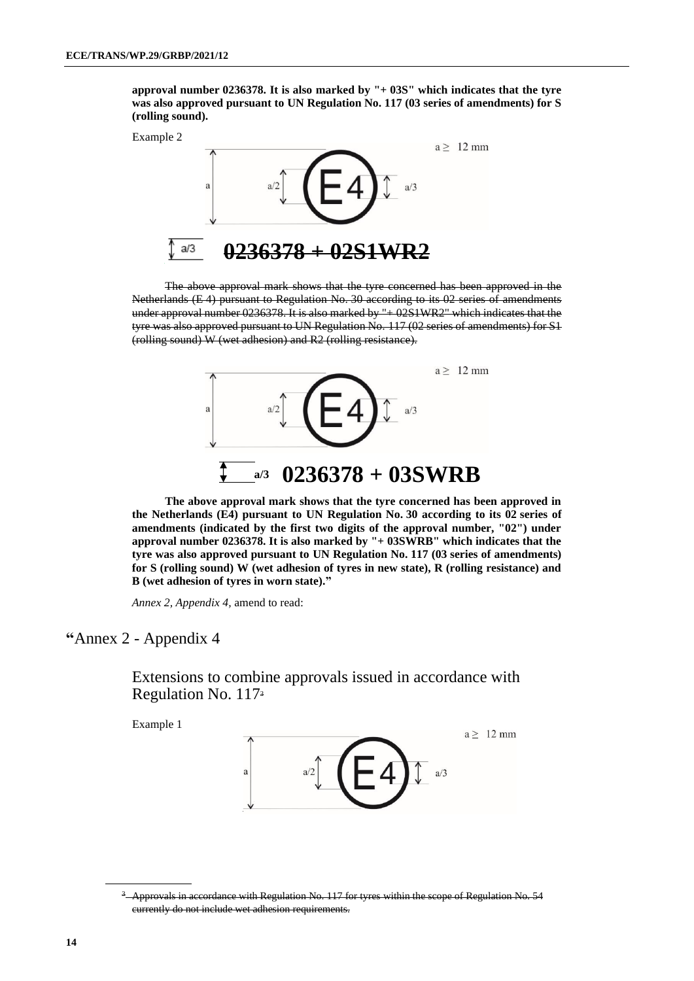**approval number 0236378. It is also marked by "+ 03S" which indicates that the tyre was also approved pursuant to UN Regulation No. 117 (03 series of amendments) for S (rolling sound).**

Example 2



The above approval mark shows that the tyre concerned has been approved in the Netherlands (E 4) pursuant to Regulation No. 30 according to its 02 series of amendments under approval number 0236378. It is also marked by "+ 02S1WR2" which indicates that the tyre was also approved pursuant to UN Regulation No. 117 (02 series of amendments) for S1 (rolling sound) W (wet adhesion) and R2 (rolling resistance).



**The above approval mark shows that the tyre concerned has been approved in the Netherlands (E4) pursuant to UN Regulation No. 30 according to its 02 series of amendments (indicated by the first two digits of the approval number, "02") under approval number 0236378. It is also marked by "+ 03SWRB" which indicates that the tyre was also approved pursuant to UN Regulation No. 117 (03 series of amendments) for S (rolling sound) W (wet adhesion of tyres in new state), R (rolling resistance) and B (wet adhesion of tyres in worn state)."** 

*Annex 2, Appendix 4,* amend to read:

### **"**Annex 2 - Appendix 4

Extensions to combine approvals issued in accordance with Regulation No. 117<sup>3</sup>

Example 1



<sup>&</sup>lt;sup>3</sup> Approvals in accordance with Regulation No. 117 for tyres within the scope of Regulation No. 54 currently do not include wet adhesion requirements.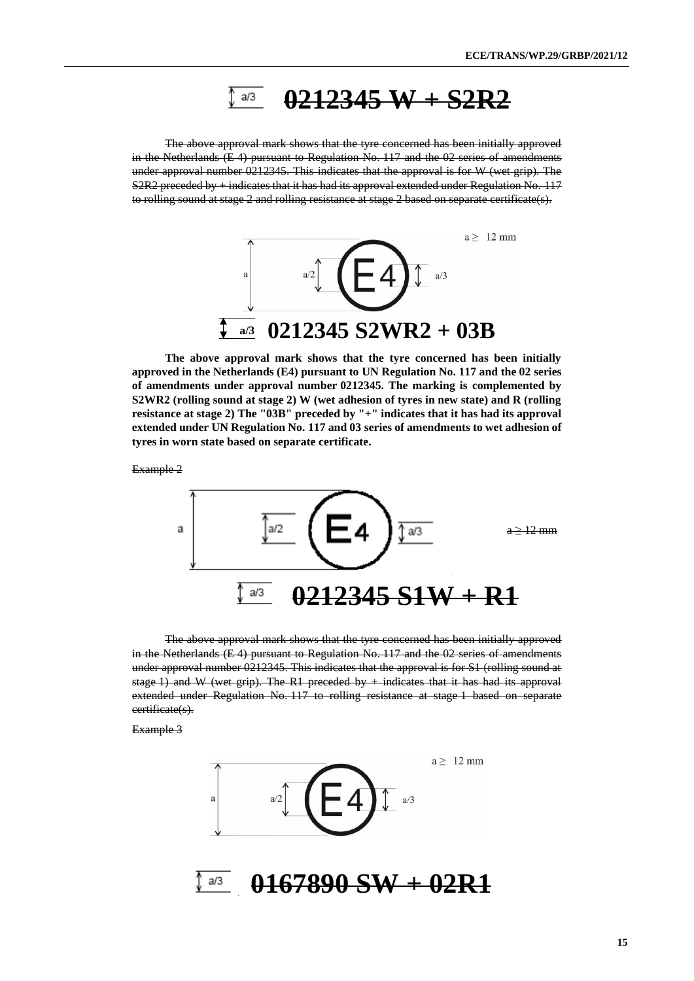#### **0212345 W + S2R2**  $a/3$

The above approval mark shows that the tyre concerned has been initially approved in the Netherlands (E 4) pursuant to Regulation No. 117 and the 02 series of amendments under approval number 0212345. This indicates that the approval is for W (wet grip). The  $S2R2$  preceded by  $+$  indicates that it has had its approval extended under Regulation No. 117 to rolling sound at stage 2 and rolling resistance at stage 2 based on separate certificate(s).



**The above approval mark shows that the tyre concerned has been initially approved in the Netherlands (E4) pursuant to UN Regulation No. 117 and the 02 series of amendments under approval number 0212345. The marking is complemented by S2WR2 (rolling sound at stage 2) W (wet adhesion of tyres in new state) and R (rolling resistance at stage 2) The "03B" preceded by "+" indicates that it has had its approval extended under UN Regulation No. 117 and 03 series of amendments to wet adhesion of tyres in worn state based on separate certificate.**

Example 2



The above approval mark shows that the tyre concerned has been initially approved in the Netherlands (E 4) pursuant to Regulation No. 117 and the 02 series of amendments under approval number 0212345. This indicates that the approval is for S1 (rolling sound at stage 1) and W (wet grip). The R1 preceded by  $+$  indicates that it has had its approval extended under Regulation No. 117 to rolling resistance at stage 1 based on separate certificate(s).

Example 3

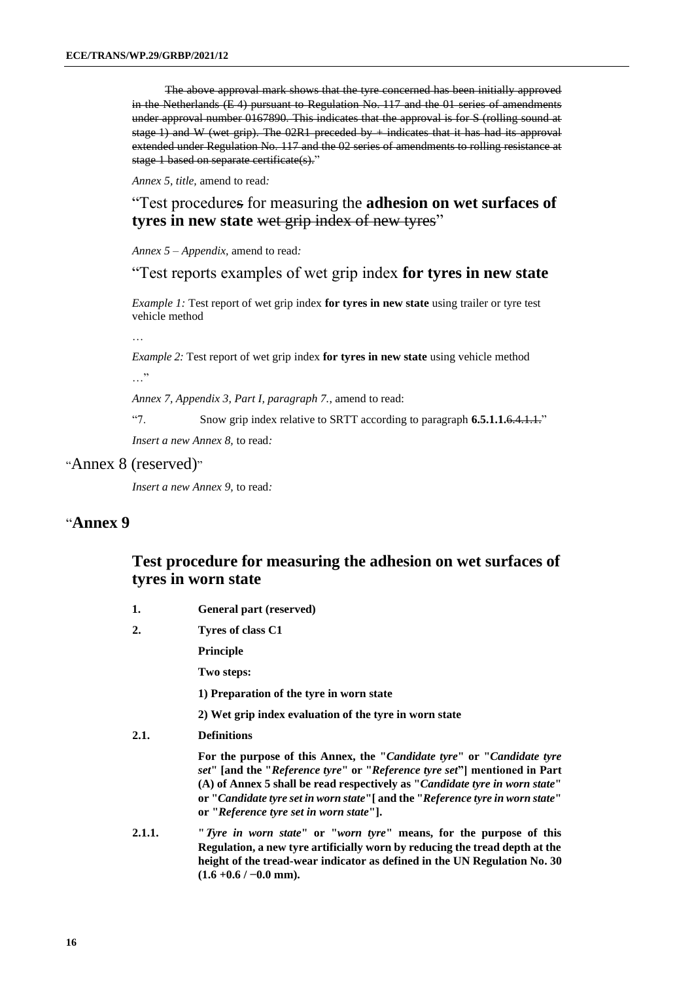The above approval mark shows that the tyre concerned has been initially approved in the Netherlands (E 4) pursuant to Regulation No. 117 and the 01 series of amendments under approval number 0167890. This indicates that the approval is for S (rolling sound at stage 1) and W (wet grip). The  $02R1$  preceded by  $+$  indicates that it has had its approval extended under Regulation No. 117 and the 02 series of amendments to rolling resistance at stage 1 based on separate certificate(s)."

*Annex 5, title,* amend to read*:*

"Test procedures for measuring the **adhesion on wet surfaces of tyres in new state** wet grip index of new tyres"

*Annex 5 – Appendix,* amend to read*:*

"Test reports examples of wet grip index **for tyres in new state**

*Example 1:* Test report of wet grip index for tyres in new state using trailer or tyre test vehicle method

…

*Example 2:* Test report of wet grip index **for tyres in new state** using vehicle method

…"

*Annex 7, Appendix 3, Part I, paragraph 7.*, amend to read:

"7. Snow grip index relative to SRTT according to paragraph **6.5.1.1.**6.4.1.1."

*Insert a new Annex 8,* to read*:*

#### "Annex 8 (reserved)"

*Insert a new Annex 9,* to read*:*

### "**Annex 9**

### **Test procedure for measuring the adhesion on wet surfaces of tyres in worn state**

- **1. General part (reserved)**
- **2. Tyres of class C1**

**Principle**

**Two steps:**

**1) Preparation of the tyre in worn state**

**2) Wet grip index evaluation of the tyre in worn state** 

**2.1. Definitions**

**For the purpose of this Annex, the "***Candidate tyre***" or "***Candidate tyre set***" [and the "***Reference tyre***" or "***Reference tyre set***"] mentioned in Part (A) of Annex 5 shall be read respectively as "***Candidate tyre in worn state***" or "***Candidate tyre set in worn state***"[ and the "***Reference tyre in worn state***" or "***Reference tyre set in worn state***"].**

**2.1.1. "T***yre in worn state***" or "***worn tyre***" means, for the purpose of this Regulation, a new tyre artificially worn by reducing the tread depth at the height of the tread-wear indicator as defined in the UN Regulation No. 30 (1.6 +0.6 / −0.0 mm).**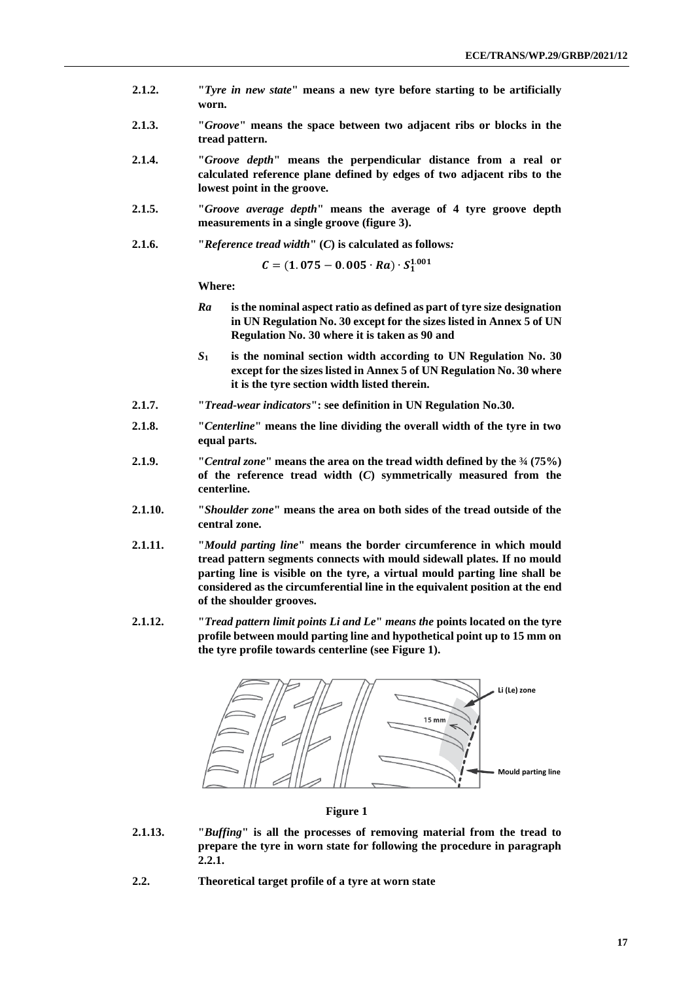- **2.1.2. "***Tyre in new state***" means a new tyre before starting to be artificially worn.**
- **2.1.3. "***Groove***" means the space between two adjacent ribs or blocks in the tread pattern.**
- **2.1.4. "***Groove depth***" means the perpendicular distance from a real or calculated reference plane defined by edges of two adjacent ribs to the lowest point in the groove.**
- **2.1.5. "***Groove average depth***" means the average of 4 tyre groove depth measurements in a single groove (figure 3).**
- **2.1.6. "***Reference tread width***" (***C***) is calculated as follows***:*

 $C = (1.075 - 0.005 \cdot Ra) \cdot S_1^{1.001}$ 

**Where:**

- *Ra* **is the nominal aspect ratio as defined as part of tyre size designation in UN Regulation No. 30 except for the sizes listed in Annex 5 of UN Regulation No. 30 where it is taken as 90 and**
- *S***<sup>1</sup> is the nominal section width according to UN Regulation No. 30 except for the sizes listed in Annex 5 of UN Regulation No. 30 where it is the tyre section width listed therein.**
- **2.1.7. "***Tread-wear indicators***": see definition in UN Regulation No.30.**
- **2.1.8. "***Centerline***" means the line dividing the overall width of the tyre in two equal parts.**
- **2.1.9. "***Central zone***" means the area on the tread width defined by the ¾ (75%) of the reference tread width (***C***) symmetrically measured from the centerline.**
- **2.1.10. "***Shoulder zone***" means the area on both sides of the tread outside of the central zone.**
- **2.1.11. "***Mould parting line***" means the border circumference in which mould tread pattern segments connects with mould sidewall plates. If no mould parting line is visible on the tyre, a virtual mould parting line shall be considered as the circumferential line in the equivalent position at the end of the shoulder grooves.**
- **2.1.12. "***Tread pattern limit points Li and Le***"** *means the* **points located on the tyre profile between mould parting line and hypothetical point up to 15 mm on the tyre profile towards centerline (see Figure 1).**



**Figure 1**

- **2.1.13. "***Buffing***" is all the processes of removing material from the tread to prepare the tyre in worn state for following the procedure in paragraph 2.2.1.**
- **2.2. Theoretical target profile of a tyre at worn state**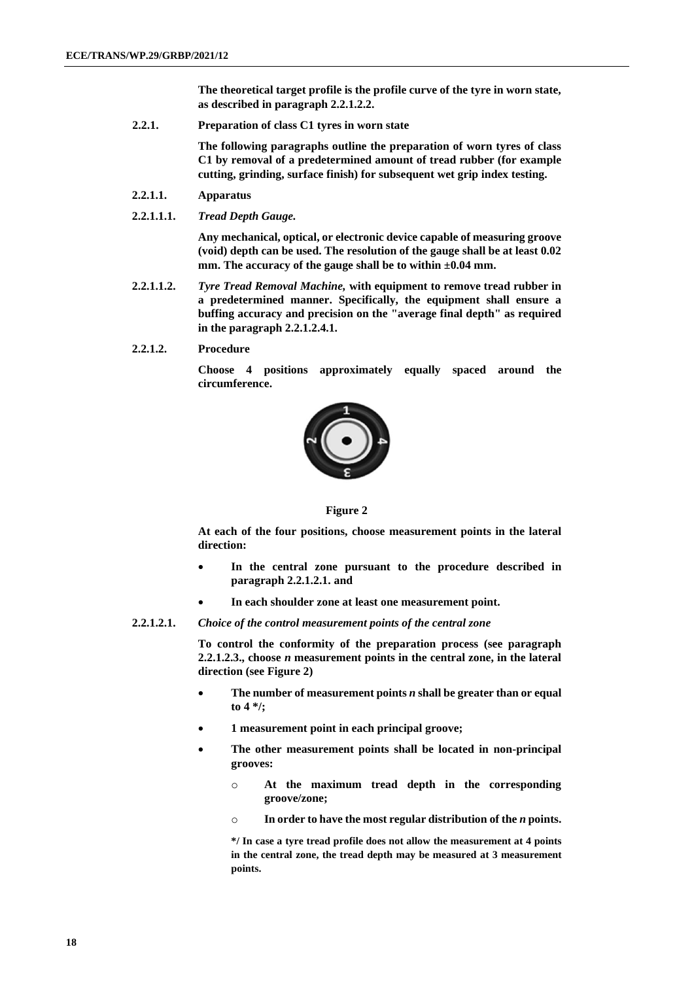**The theoretical target profile is the profile curve of the tyre in worn state, as described in paragraph 2.2.1.2.2.**

**2.2.1. Preparation of class C1 tyres in worn state**

**The following paragraphs outline the preparation of worn tyres of class C1 by removal of a predetermined amount of tread rubber (for example cutting, grinding, surface finish) for subsequent wet grip index testing.** 

- **2.2.1.1. Apparatus**
- **2.2.1.1.1.** *Tread Depth Gauge.*

**Any mechanical, optical, or electronic device capable of measuring groove (void) depth can be used. The resolution of the gauge shall be at least 0.02 mm. The accuracy of the gauge shall be to within ±0.04 mm.**

- **2.2.1.1.2.** *Tyre Tread Removal Machine,* **with equipment to remove tread rubber in a predetermined manner. Specifically, the equipment shall ensure a buffing accuracy and precision on the "average final depth" as required in the paragraph 2.2.1.2.4.1.**
- **2.2.1.2. Procedure**

**Choose 4 positions approximately equally spaced around the circumference.**



**Figure 2**

**At each of the four positions, choose measurement points in the lateral direction:**

- **In the central zone pursuant to the procedure described in paragraph 2.2.1.2.1. and**
- **In each shoulder zone at least one measurement point.**
- **2.2.1.2.1.** *Choice of the control measurement points of the central zone*

**To control the conformity of the preparation process (see paragraph 2.2.1.2.3., choose** *n* **measurement points in the central zone, in the lateral direction (see Figure 2)**

- **The number of measurement points** *n* **shall be greater than or equal to 4 \*/;**
- **1 measurement point in each principal groove;**
- **The other measurement points shall be located in non-principal grooves:**
	- o **At the maximum tread depth in the corresponding groove/zone;**
	- o **In order to have the most regular distribution of the** *n* **points.**

**\*/ In case a tyre tread profile does not allow the measurement at 4 points in the central zone, the tread depth may be measured at 3 measurement points.**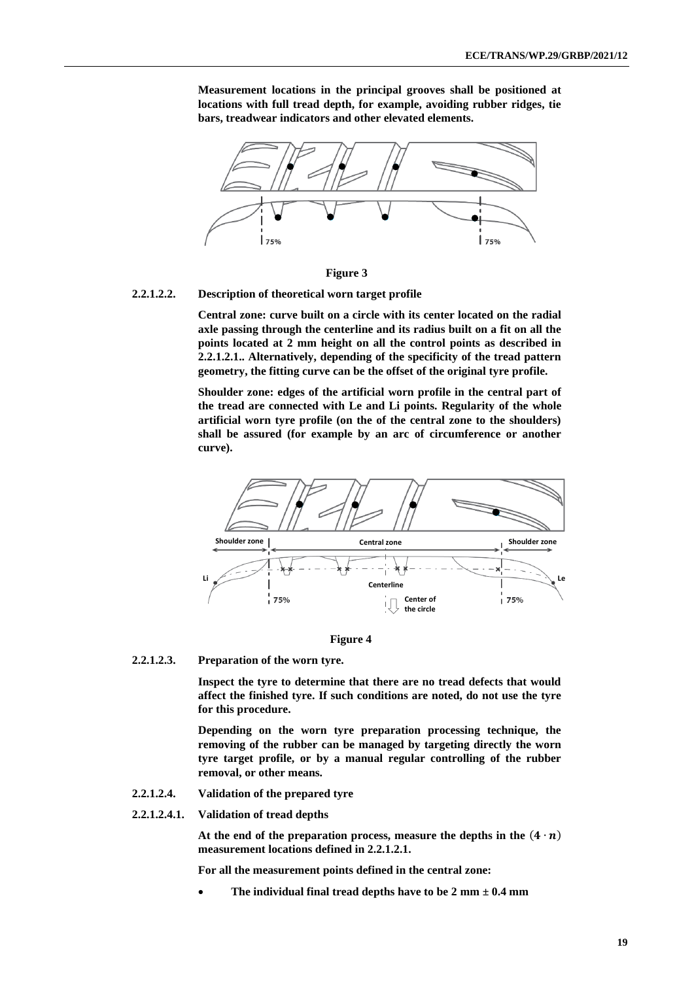**Measurement locations in the principal grooves shall be positioned at locations with full tread depth, for example, avoiding rubber ridges, tie bars, treadwear indicators and other elevated elements.** 



**Figure 3**

**2.2.1.2.2. Description of theoretical worn target profile**

**Central zone: curve built on a circle with its center located on the radial axle passing through the centerline and its radius built on a fit on all the points located at 2 mm height on all the control points as described in 2.2.1.2.1.. Alternatively, depending of the specificity of the tread pattern geometry, the fitting curve can be the offset of the original tyre profile.**

**Shoulder zone: edges of the artificial worn profile in the central part of the tread are connected with Le and Li points. Regularity of the whole artificial worn tyre profile (on the of the central zone to the shoulders) shall be assured (for example by an arc of circumference or another curve).**





**2.2.1.2.3. Preparation of the worn tyre.**

**Inspect the tyre to determine that there are no tread defects that would affect the finished tyre. If such conditions are noted, do not use the tyre for this procedure.**

**Depending on the worn tyre preparation processing technique, the removing of the rubber can be managed by targeting directly the worn tyre target profile, or by a manual regular controlling of the rubber removal, or other means.** 

- **2.2.1.2.4. Validation of the prepared tyre**
- **2.2.1.2.4.1. Validation of tread depths**

At the end of the preparation process, measure the depths in the  $(4 \cdot n)$ **measurement locations defined in 2.2.1.2.1.**

**For all the measurement points defined in the central zone:**

The individual final tread depths have to be  $2 \text{ mm } \pm 0.4 \text{ mm}$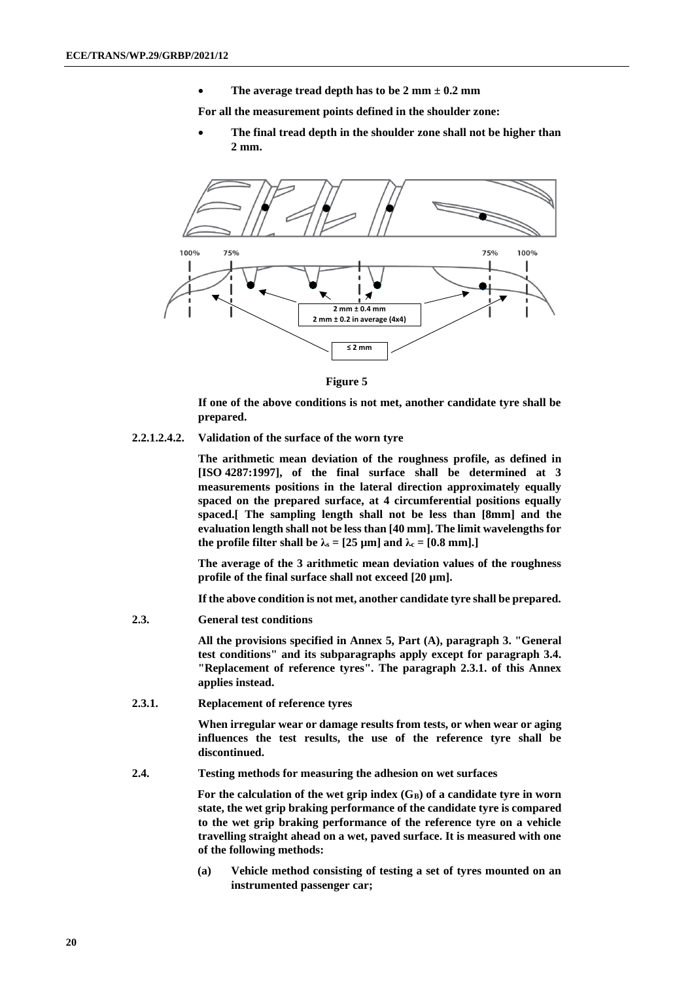• **The average tread depth has to be 2 mm ± 0.2 mm**

**For all the measurement points defined in the shoulder zone:**

• **The final tread depth in the shoulder zone shall not be higher than 2 mm.**



**Figure 5**

**If one of the above conditions is not met, another candidate tyre shall be prepared.**

**2.2.1.2.4.2. Validation of the surface of the worn tyre**

**The arithmetic mean deviation of the roughness profile, as defined in [ISO 4287:1997], of the final surface shall be determined at 3 measurements positions in the lateral direction approximately equally spaced on the prepared surface, at 4 circumferential positions equally spaced.[ The sampling length shall not be less than [8mm] and the evaluation length shall not be less than [40 mm]. The limit wavelengths for the profile filter shall be**  $\lambda$ **s** = [25 µm] and  $\lambda$ **c** = [0.8 mm].]

**The average of the 3 arithmetic mean deviation values of the roughness profile of the final surface shall not exceed [20 µm].**

**If the above condition is not met, another candidate tyre shall be prepared.**

**2.3. General test conditions**

**All the provisions specified in Annex 5, Part (A), paragraph 3. "General test conditions" and its subparagraphs apply except for paragraph 3.4. "Replacement of reference tyres". The paragraph 2.3.1. of this Annex applies instead.**

**2.3.1. Replacement of reference tyres**

**When irregular wear or damage results from tests, or when wear or aging influences the test results, the use of the reference tyre shall be discontinued.**

**2.4. Testing methods for measuring the adhesion on wet surfaces**

**For the calculation of the wet grip index (GB) of a candidate tyre in worn state, the wet grip braking performance of the candidate tyre is compared to the wet grip braking performance of the reference tyre on a vehicle travelling straight ahead on a wet, paved surface. It is measured with one of the following methods:**

**(a) Vehicle method consisting of testing a set of tyres mounted on an instrumented passenger car;**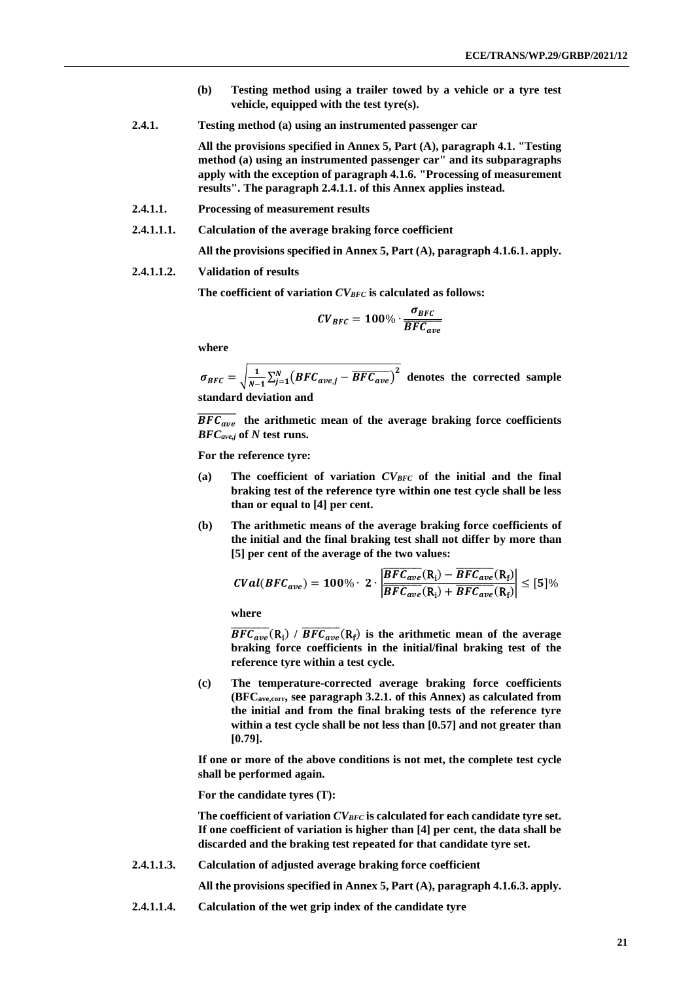- **(b) Testing method using a trailer towed by a vehicle or a tyre test vehicle, equipped with the test tyre(s).**
- **2.4.1. Testing method (a) using an instrumented passenger car**

**All the provisions specified in Annex 5, Part (A), paragraph 4.1. "Testing method (a) using an instrumented passenger car" and its subparagraphs apply with the exception of paragraph 4.1.6. "Processing of measurement results". The paragraph 2.4.1.1. of this Annex applies instead.**

- **2.4.1.1. Processing of measurement results**
- **2.4.1.1.1. Calculation of the average braking force coefficient**

**All the provisions specified in Annex 5, Part (A), paragraph 4.1.6.1. apply.**

#### **2.4.1.1.2. Validation of results**

**The coefficient of variation** *CVBFC* **is calculated as follows:**

$$
CV_{BFC} = 100\% \cdot \frac{\sigma_{BFC}}{\overline{BFC_{ave}}}
$$

**where**

 $\sigma_{BFC} = \sqrt{\frac{1}{N-1}}$  $\frac{1}{N-1}$ ∑ $\sum_{j=1}^{N}$ (*BFC<sub>ave,j</sub> –*  $\overline{BFC_{ave}}$ )<sup>2</sup> denotes the corrected sample **standard deviation and**

 $\overline{BFC_{ave}}$  the arithmetic mean of the average braking force coefficients *BFCave,j* **of** *N* **test runs.**

**For the reference tyre:**

- **(a) The coefficient of variation** *CVBFC* **of the initial and the final braking test of the reference tyre within one test cycle shall be less than or equal to [4] per cent.**
- **(b) The arithmetic means of the average braking force coefficients of the initial and the final braking test shall not differ by more than [5] per cent of the average of the two values:**

$$
CVal(BFC_{ave}) = 100\% \cdot 2 \cdot \left| \frac{\overline{BFC_{ave}}(R_i) - \overline{BFC_{ave}}(R_f)}{\overline{BFC_{ave}}(R_i) + \overline{BFC_{ave}}(R_f)} \right| \leq [5]\%
$$

**where**

 $\overline{BFC_{ave}}(R_i)$  /  $\overline{BFC_{ave}}(R_f)$  is the arithmetic mean of the average **braking force coefficients in the initial/final braking test of the reference tyre within a test cycle.**

**(c) The temperature-corrected average braking force coefficients (BFCave,corr, see paragraph 3.2.1. of this Annex) as calculated from the initial and from the final braking tests of the reference tyre within a test cycle shall be not less than [0.57] and not greater than [0.79].**

**If one or more of the above conditions is not met, the complete test cycle shall be performed again.**

**For the candidate tyres (T):**

**The coefficient of variation** *CVBFC* **is calculated for each candidate tyre set. If one coefficient of variation is higher than [4] per cent, the data shall be discarded and the braking test repeated for that candidate tyre set.**

**2.4.1.1.3. Calculation of adjusted average braking force coefficient**

**All the provisions specified in Annex 5, Part (A), paragraph 4.1.6.3. apply.**

**2.4.1.1.4. Calculation of the wet grip index of the candidate tyre**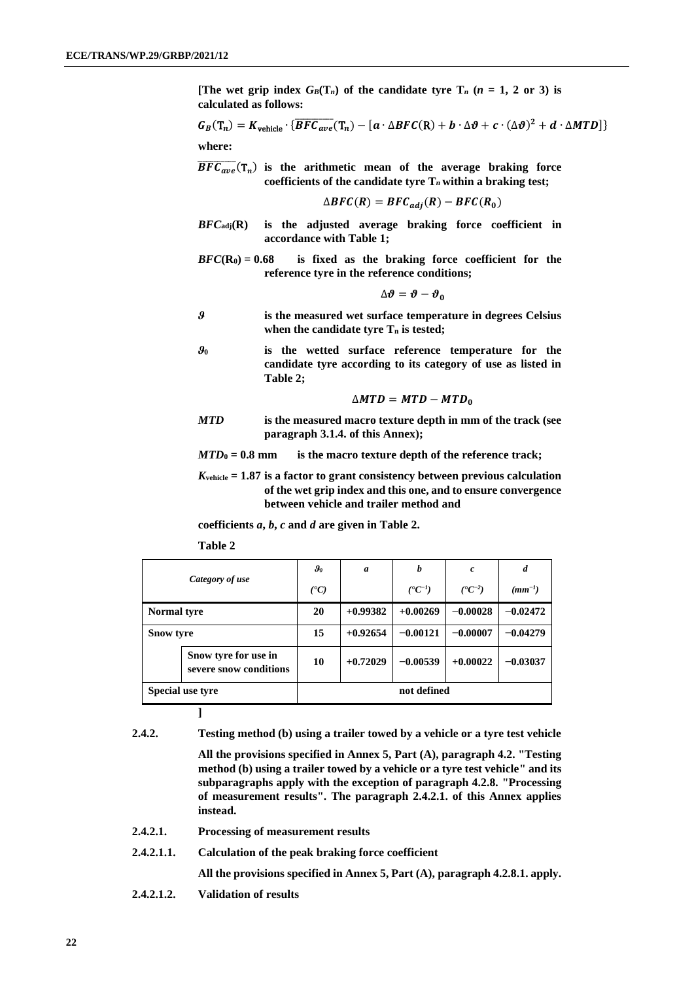**[The wet grip index**  $G_B(T_n)$  **of the candidate tyre**  $T_n$  **(** $n = 1, 2$  **or 3) is calculated as follows:**

$$
G_B(T_n) = K_{\text{vehicle}} \cdot \{ \overline{BFC_{ave}}(T_n) - [a \cdot \Delta BFC(R) + b \cdot \Delta \vartheta + c \cdot (\Delta \vartheta)^2 + d \cdot \Delta MTD] \}
$$
  
where:

 $\overline{BFC_{ave}}(T_n)$  is the arithmetic mean of the average braking force **coefficients of the candidate tyre T***<sup>n</sup>* **within a braking test;**

$$
\Delta BFC(R) = BFC_{adj}(R) - BFC(R_0)
$$

- *BFC***adj(R) is the adjusted average braking force coefficient in accordance with Table 1;**
- *BFC***(R0) = 0.68 is fixed as the braking force coefficient for the reference tyre in the reference conditions;**

$$
\Delta\boldsymbol{\vartheta}=\boldsymbol{\vartheta}-\boldsymbol{\vartheta}_0
$$

- *ϑ* **is the measured wet surface temperature in degrees Celsius when the candidate tyre T<sup>n</sup> is tested;**
- *ϑ***<sup>0</sup> is the wetted surface reference temperature for the candidate tyre according to its category of use as listed in Table 2;**

$$
\triangle MTD = MTD - MTD_0
$$

*MTD* **is the measured macro texture depth in mm of the track (see paragraph 3.1.4. of this Annex);**

*MTD***<sup>0</sup> = 0.8 mm is the macro texture depth of the reference track;**

*K***vehicle = 1.87 is a factor to grant consistency between previous calculation of the wet grip index and this one, and to ensure convergence between vehicle and trailer method and**

**coefficients** *a***,** *b***,** *c* **and** *d* **are given in Table 2.**

**Table 2**

| Category of use                                |                  | $g_{\scriptscriptstyle{\theta}}$ | a          | b                      | $\pmb{c}$              | d           |  |
|------------------------------------------------|------------------|----------------------------------|------------|------------------------|------------------------|-------------|--|
|                                                |                  | $(^{\bullet}C)$                  |            | $({}^{\bullet}C^{-1})$ | $({}^{\bullet}C^{-2})$ | $(mm^{-1})$ |  |
| <b>Normal tyre</b>                             |                  | 20                               | $+0.99382$ | $+0.00269$             | $-0.00028$             | $-0.02472$  |  |
|                                                | <b>Snow tyre</b> |                                  | $+0.92654$ | $-0.00121$             | $-0.00007$             | $-0.04279$  |  |
| Snow tyre for use in<br>severe snow conditions |                  | 10                               | $+0.72029$ | $-0.00539$             | $+0.00022$             | $-0.03037$  |  |
| Special use tyre                               |                  | not defined                      |            |                        |                        |             |  |

**]**

**2.4.2. Testing method (b) using a trailer towed by a vehicle or a tyre test vehicle**

**All the provisions specified in Annex 5, Part (A), paragraph 4.2. "Testing method (b) using a trailer towed by a vehicle or a tyre test vehicle" and its subparagraphs apply with the exception of paragraph 4.2.8. "Processing of measurement results". The paragraph 2.4.2.1. of this Annex applies instead.**

- **2.4.2.1. Processing of measurement results**
- **2.4.2.1.1. Calculation of the peak braking force coefficient**

**All the provisions specified in Annex 5, Part (A), paragraph 4.2.8.1. apply.**

**2.4.2.1.2. Validation of results**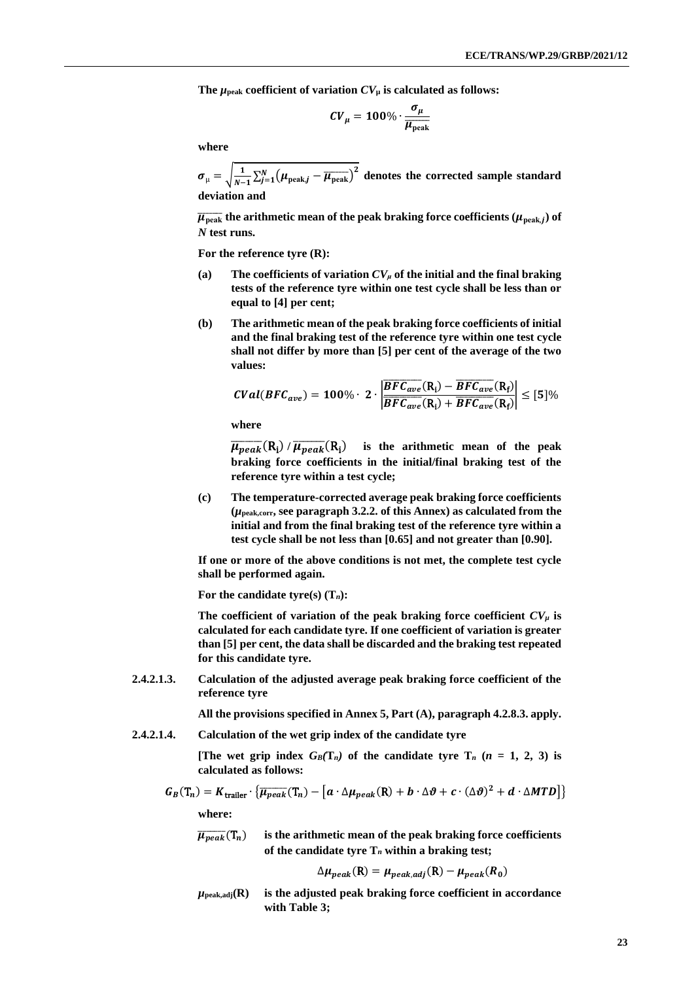The  $\mu_{\text{peak}}$  coefficient of variation  $CV_{\mu}$  is calculated as follows:

$$
CV_{\mu} = 100\% \cdot \frac{\sigma_{\mu}}{\overline{\mu_{\rm peak}}}
$$

**where**

$$
\sigma_{\mu} = \sqrt{\frac{1}{N-1} \sum_{j=1}^{N} (\mu_{\text{peak},j} - \overline{\mu_{\text{peak}}})^2}
$$
 denotes the corrected sample standard deviation and

 $\overline{\mu _{\rm peak}}$  the arithmetic mean of the peak braking force coefficients  $(\mu _{\rm peak,j})$  of *N* **test runs.**

**For the reference tyre (R):**

- (a) **The coefficients of variation**  $CV_\mu$  **of the initial and the final braking tests of the reference tyre within one test cycle shall be less than or equal to [4] per cent;**
- **(b) The arithmetic mean of the peak braking force coefficients of initial and the final braking test of the reference tyre within one test cycle shall not differ by more than [5] per cent of the average of the two values:**

$$
CVal(BFC_{ave}) = 100\% \cdot 2 \cdot \left| \frac{\overline{BFC_{ave}}(R_i) - \overline{BFC_{ave}}(R_f)}{\overline{BFC_{ave}}(R_i) + \overline{BFC_{ave}}(R_f)} \right| \leq [5]\%
$$

**where**

 $\overline{\mu_{peak}}(\rm R_i)$  /  $\overline{\mu_{peak}}(\rm R_i)$ ) **is the arithmetic mean of the peak braking force coefficients in the initial/final braking test of the reference tyre within a test cycle;**

**(c) The temperature-corrected average peak braking force coefficients (***µ***peak,corr, see paragraph 3.2.2. of this Annex) as calculated from the initial and from the final braking test of the reference tyre within a test cycle shall be not less than [0.65] and not greater than [0.90].**

**If one or more of the above conditions is not met, the complete test cycle shall be performed again.**

**For the candidate tyre(s) (T***n***):**

The coefficient of variation of the peak braking force coefficient  $CV_\mu$  is **calculated for each candidate tyre. If one coefficient of variation is greater than [5] per cent, the data shall be discarded and the braking test repeated for this candidate tyre.**

**2.4.2.1.3. Calculation of the adjusted average peak braking force coefficient of the reference tyre**

**All the provisions specified in Annex 5, Part (A), paragraph 4.2.8.3. apply.**

**2.4.2.1.4. Calculation of the wet grip index of the candidate tyre** 

**[The wet grip index**  $G_B(T_n)$  **of the candidate tyre**  $T_n$  **(** $n = 1, 2, 3$ **) is calculated as follows:**

$$
G_B(T_n) = K_{\text{traller}} \cdot \{ \overline{\mu_{peak}}(T_n) - [a \cdot \Delta \mu_{peak}(R) + b \cdot \Delta \vartheta + c \cdot (\Delta \vartheta)^2 + d \cdot \Delta \text{MTD} \} \}
$$

**where:**

 $\overline{\mu_{peak}}(T_n)$  is the arithmetic mean of the peak braking force coefficients **of the candidate tyre T***<sup>n</sup>* **within a braking test;**

$$
\Delta \mu_{peak}(R) = \mu_{peak,adj}(R) - \mu_{peak}(R_0)
$$

 $\mu_{\text{peak,adj}}(R)$  is the adjusted peak braking force coefficient in accordance **with Table 3;**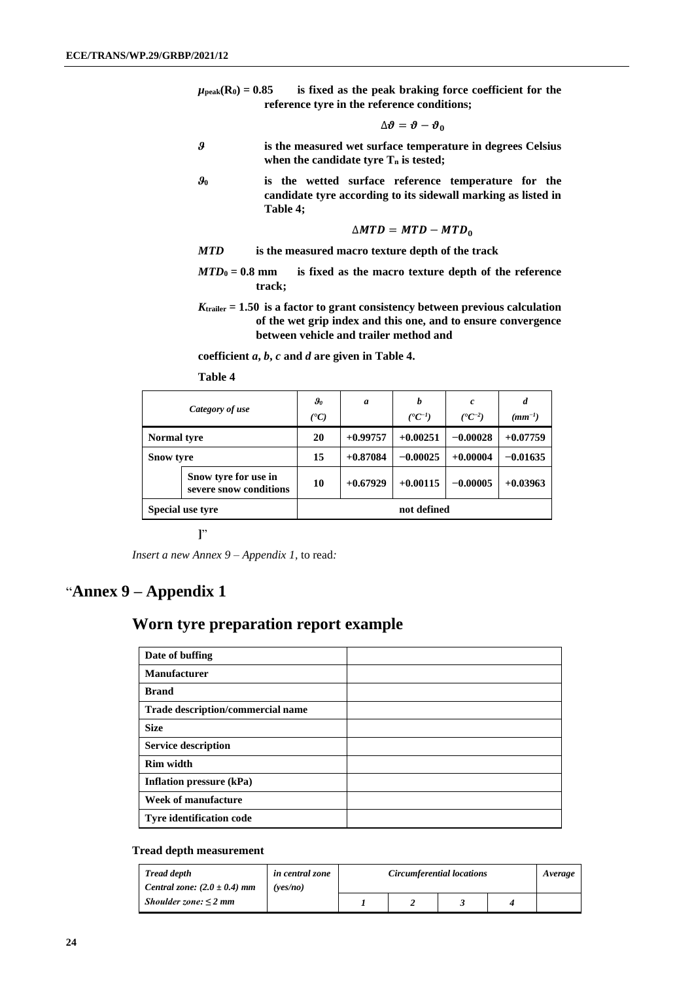$\mu_{\text{peak}}(R_0) = 0.85$  is fixed as the peak braking force coefficient for the **reference tyre in the reference conditions;**

$$
\Delta\pmb\vartheta=\pmb\vartheta-\pmb\vartheta_0
$$

- *ϑ* **is the measured wet surface temperature in degrees Celsius when the candidate tyre T<sup>n</sup> is tested;**
- *ϑ***<sup>0</sup> is the wetted surface reference temperature for the candidate tyre according to its sidewall marking as listed in Table 4;**

$$
\triangle MTD = MTD - MTD_0
$$

*MTD* **is the measured macro texture depth of the track**

- *MTD***<sup>0</sup> = 0.8 mm is fixed as the macro texture depth of the reference track;**
- *K***trailer = 1.50 is a factor to grant consistency between previous calculation of the wet grip index and this one, and to ensure convergence between vehicle and trailer method and**

**coefficient** *a***,** *b***,** *c* **and** *d* **are given in Table 4.**

**Table 4**

| Category of use                                |                  | $\boldsymbol{\vartheta_{0}}$<br>(°C) | a          | b<br>$({}^{\bullet}C^{-1})$ | c<br>$({}^{\bullet}C^{-2})$ | d<br>$(mm^{-1})$ |
|------------------------------------------------|------------------|--------------------------------------|------------|-----------------------------|-----------------------------|------------------|
| <b>Normal tyre</b>                             |                  | 20                                   | $+0.99757$ | $+0.00251$                  | $-0.00028$                  | $+0.07759$       |
| <b>Snow tyre</b>                               |                  | 15                                   | $+0.87084$ | $-0.00025$                  | $+0.00004$                  | $-0.01635$       |
| Snow tyre for use in<br>severe snow conditions |                  | 10                                   | $+0.67929$ | $+0.00115$                  | $-0.00005$                  | $+0.03963$       |
|                                                | Special use tyre |                                      |            | not defined                 |                             |                  |

**]**"

*Insert a new Annex 9 – Appendix 1,* to read*:*

# "**Annex 9 – Appendix 1**

## **Worn tyre preparation report example**

| Date of buffing                   |  |
|-----------------------------------|--|
| <b>Manufacturer</b>               |  |
| <b>Brand</b>                      |  |
| Trade description/commercial name |  |
| <b>Size</b>                       |  |
| <b>Service description</b>        |  |
| <b>Rim width</b>                  |  |
| Inflation pressure (kPa)          |  |
| Week of manufacture               |  |
| <b>Tyre identification code</b>   |  |

#### **Tread depth measurement**

| <b>Tread depth</b>               | in central zone | <b>Circumferential locations</b> | Average |  |  |  |
|----------------------------------|-----------------|----------------------------------|---------|--|--|--|
| Central zone: $(2.0 \pm 0.4)$ mm | (ves/no         |                                  |         |  |  |  |
| Shoulder zone: $\leq$ 2 mm       |                 |                                  |         |  |  |  |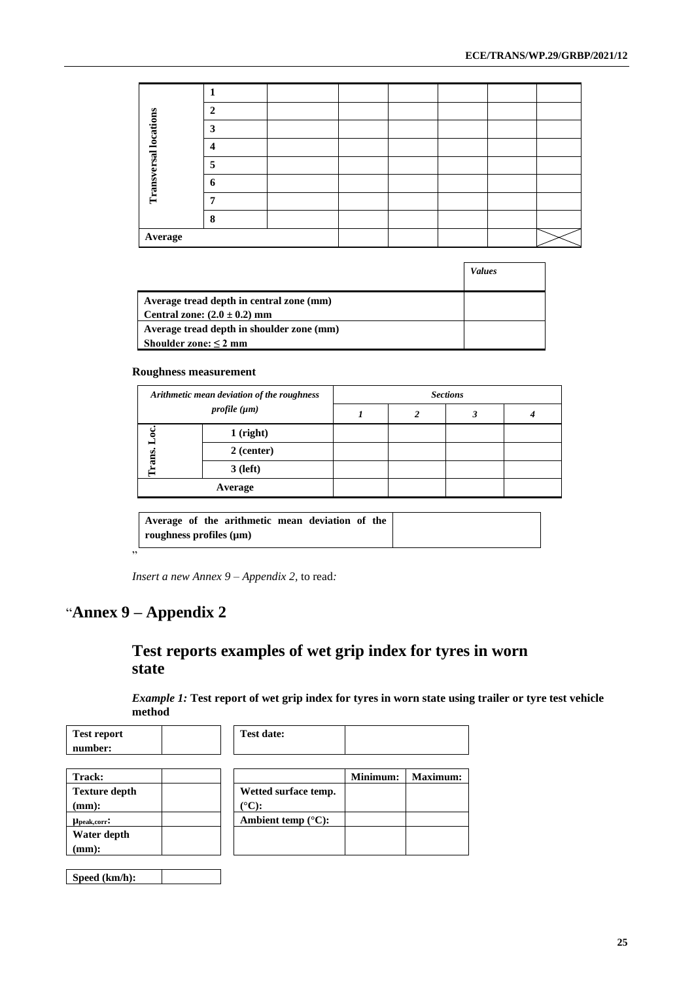|                              | $\overline{2}$ |  |  |  |  |
|------------------------------|----------------|--|--|--|--|
| <b>Transversal locations</b> | 3              |  |  |  |  |
|                              | 4              |  |  |  |  |
|                              | 5              |  |  |  |  |
|                              | 6              |  |  |  |  |
|                              |                |  |  |  |  |
|                              | 8              |  |  |  |  |
| Average                      |                |  |  |  |  |

|                                                                              | <b>Values</b> |
|------------------------------------------------------------------------------|---------------|
| Average tread depth in central zone (mm)<br>Central zone: $(2.0 \pm 0.2)$ mm |               |
| Average tread depth in shoulder zone (mm)                                    |               |
| Shoulder zone: $\leq 2$ mm                                                   |               |

#### **Roughness measurement**

| Arithmetic mean deviation of the roughness |                   | <b>Sections</b> |  |  |  |  |
|--------------------------------------------|-------------------|-----------------|--|--|--|--|
|                                            | profile $(\mu m)$ |                 |  |  |  |  |
| $1$ (right)                                |                   |                 |  |  |  |  |
| ams                                        | 2 (center)        |                 |  |  |  |  |
|                                            | $3$ (left)        |                 |  |  |  |  |
| Average                                    |                   |                 |  |  |  |  |

|    | Average of the arithmetic mean deviation of the<br>roughness profiles $(\mu m)$ |  |
|----|---------------------------------------------------------------------------------|--|
| ,, |                                                                                 |  |

*Insert a new Annex 9 – Appendix 2,* to read*:*

# "**Annex 9 – Appendix 2**

# **Test reports examples of wet grip index for tyres in worn state**

*Example 1:* **Test report of wet grip index for tyres in worn state using trailer or tyre test vehicle method**

| <b>Test report</b>   | <b>Test date:</b>            |          |                 |
|----------------------|------------------------------|----------|-----------------|
| number:              |                              |          |                 |
|                      |                              |          |                 |
| <b>Track:</b>        |                              | Minimum: | <b>Maximum:</b> |
| <b>Texture depth</b> | Wetted surface temp.         |          |                 |
| $(mm)$ :             | $({}^{\circ}{\rm C})$ :      |          |                 |
| Upeak, corr:         | Ambient temp $(^{\circ}C)$ : |          |                 |
| Water depth          |                              |          |                 |
| $(mm)$ :             |                              |          |                 |
|                      |                              |          |                 |
| Speed (km/h):        |                              |          |                 |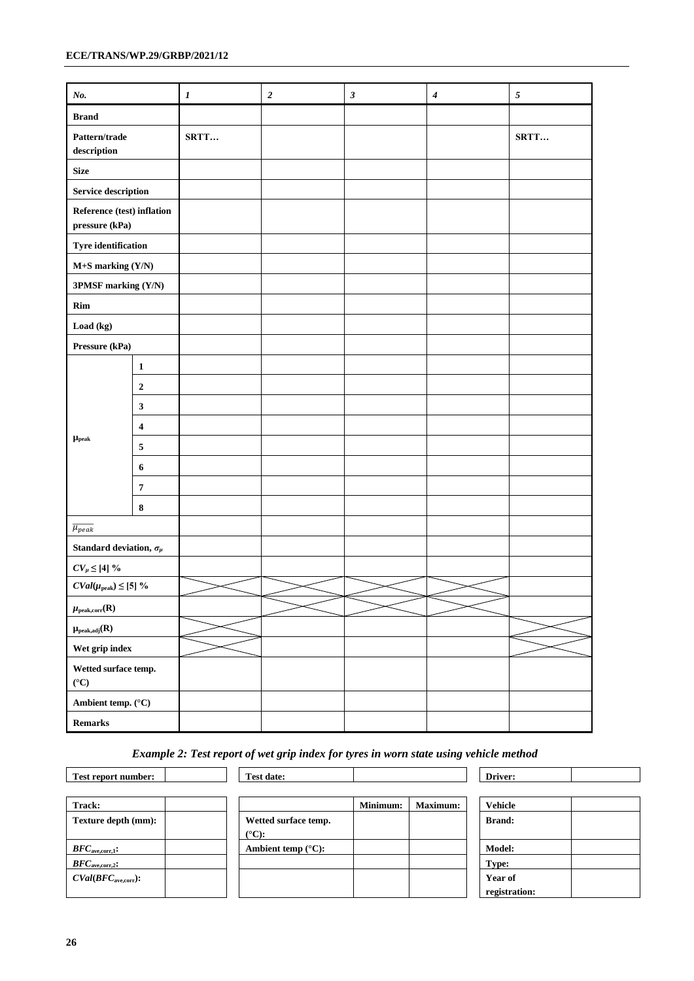#### **ECE/TRANS/WP.29/GRBP/2021/12**

| No.                                            |                  | $\boldsymbol{l}$ | $\boldsymbol{2}$ | $\sqrt{3}$ | $\boldsymbol{4}$ | $\sqrt{s}$ |
|------------------------------------------------|------------------|------------------|------------------|------------|------------------|------------|
| <b>Brand</b>                                   |                  |                  |                  |            |                  |            |
| Pattern/trade<br>$\operatorname{description}$  |                  |                  |                  |            |                  | SRTT       |
| <b>Size</b>                                    |                  |                  |                  |            |                  |            |
| Service description                            |                  |                  |                  |            |                  |            |
| Reference (test) inflation<br>$pressure (kPa)$ |                  |                  |                  |            |                  |            |
| <b>Tyre identification</b>                     |                  |                  |                  |            |                  |            |
| M+S marking (Y/N)                              |                  |                  |                  |            |                  |            |
| 3PMSF marking (Y/N)                            |                  |                  |                  |            |                  |            |
| Rim                                            |                  |                  |                  |            |                  |            |
| Load (kg)                                      |                  |                  |                  |            |                  |            |
| Pressure (kPa)                                 |                  |                  |                  |            |                  |            |
|                                                | $\mathbf{1}$     |                  |                  |            |                  |            |
|                                                | $\boldsymbol{2}$ |                  |                  |            |                  |            |
|                                                | $\mathbf{3}$     |                  |                  |            |                  |            |
|                                                | 4                |                  |                  |            |                  |            |
| $\mu_{\rm peak}$                               | $\sqrt{5}$       |                  |                  |            |                  |            |
|                                                | 6                |                  |                  |            |                  |            |
|                                                | $\pmb{7}$        |                  |                  |            |                  |            |
|                                                | $\bf 8$          |                  |                  |            |                  |            |
| $\overline{\mu_{peak}}$                        |                  |                  |                  |            |                  |            |
| Standard deviation, $\sigma_{\!\mu}$           |                  |                  |                  |            |                  |            |
| $CV_{\mu} \leq [4]$ %                          |                  |                  |                  |            |                  |            |
| $CVal(\mu_{\rm peak}) \leq [5]$ %              |                  |                  |                  |            |                  |            |
| $\mu_{\rm peak,corr}(R)$                       |                  |                  |                  |            |                  |            |
| $\mu_{\text{peak},\text{adj}}(R)$              |                  |                  |                  |            |                  |            |
| Wet grip index                                 |                  |                  |                  |            |                  |            |
| Wetted surface temp.<br>$(^{\circ}C)$          |                  |                  |                  |            |                  |            |
| Ambient temp. $(^{\circ}C)$                    |                  |                  |                  |            |                  |            |
| $\bf Remarks$                                  |                  |                  |                  |            |                  |            |

### *Example 2: Test report of wet grip index for tyres in worn state using vehicle method*

| Test report number:         | <b>Test date:</b>            |          |                 | Driver:        |
|-----------------------------|------------------------------|----------|-----------------|----------------|
|                             |                              |          |                 |                |
| Track:                      |                              | Minimum: | <b>Maximum:</b> | <b>Vehicle</b> |
| Texture depth (mm):         | Wetted surface temp.         |          |                 | <b>Brand:</b>  |
|                             | $(^{\circ}C)$ :              |          |                 |                |
| $BFC_{\text{ave,corr,1}}$ : | Ambient temp $(^{\circ}C)$ : |          |                 | <b>Model:</b>  |
| $BFC_{\text{ave,corr,2}}$ : |                              |          |                 | Type:          |
| $CVal(BFCave,corr)$ :       |                              |          |                 | Year of        |
|                             |                              |          |                 | registration:  |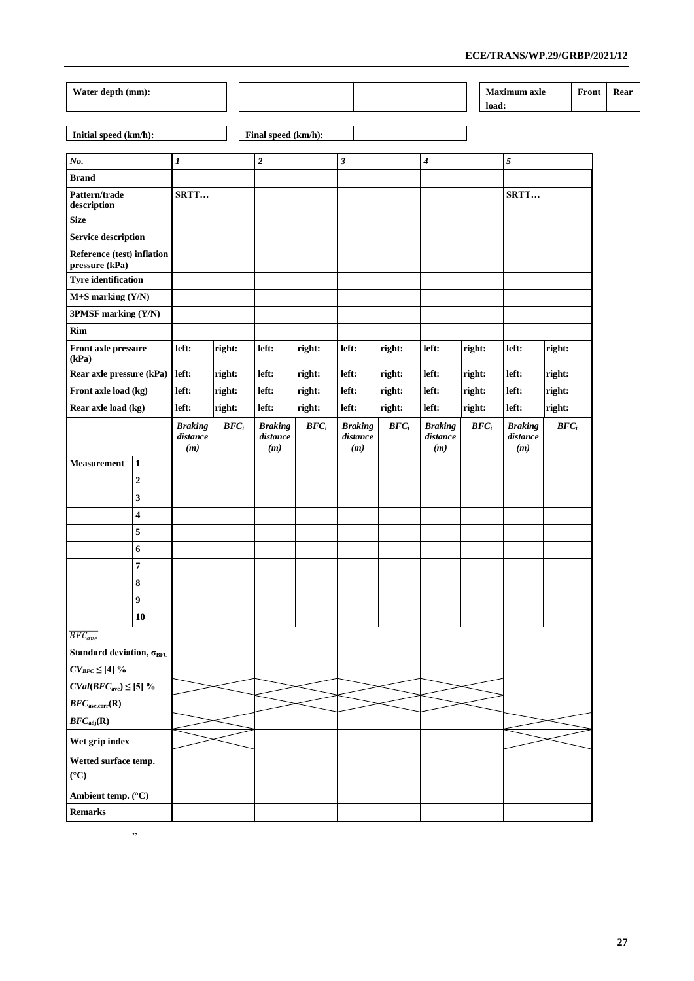| Water depth (mm):                            |                  |                                   |         |                                   |         |                                   |         |                                   |                  |       | <b>Maximum</b> axle               |                  | Front | Rear |
|----------------------------------------------|------------------|-----------------------------------|---------|-----------------------------------|---------|-----------------------------------|---------|-----------------------------------|------------------|-------|-----------------------------------|------------------|-------|------|
|                                              |                  |                                   |         |                                   |         |                                   |         |                                   |                  | load: |                                   |                  |       |      |
| Initial speed (km/h):                        |                  |                                   |         | Final speed (km/h):               |         |                                   |         |                                   |                  |       |                                   |                  |       |      |
|                                              |                  |                                   |         |                                   |         |                                   |         |                                   |                  |       |                                   |                  |       |      |
| No.                                          |                  | $\boldsymbol{l}$                  |         | $\boldsymbol{2}$                  |         | $\sqrt{3}$                        |         | 4                                 |                  |       | $\overline{\mathfrak{s}}$         |                  |       |      |
| <b>Brand</b>                                 |                  |                                   |         |                                   |         |                                   |         |                                   |                  |       |                                   |                  |       |      |
| Pattern/trade<br>SRTT<br>description         |                  |                                   |         |                                   |         |                                   |         |                                   | SRTT             |       |                                   |                  |       |      |
| <b>Size</b>                                  |                  |                                   |         |                                   |         |                                   |         |                                   |                  |       |                                   |                  |       |      |
| <b>Service description</b>                   |                  |                                   |         |                                   |         |                                   |         |                                   |                  |       |                                   |                  |       |      |
| Reference (test) inflation<br>pressure (kPa) |                  |                                   |         |                                   |         |                                   |         |                                   |                  |       |                                   |                  |       |      |
| <b>Tyre identification</b>                   |                  |                                   |         |                                   |         |                                   |         |                                   |                  |       |                                   |                  |       |      |
| $M+$ S marking $(Y/N)$                       |                  |                                   |         |                                   |         |                                   |         |                                   |                  |       |                                   |                  |       |      |
| 3PMSF marking (Y/N)                          |                  |                                   |         |                                   |         |                                   |         |                                   |                  |       |                                   |                  |       |      |
| Rim                                          |                  |                                   |         |                                   |         |                                   |         |                                   |                  |       |                                   |                  |       |      |
| Front axle pressure<br>(kPa)                 |                  | left:                             | right:  | left:                             | right:  | left:                             | right:  | left:                             | right:           |       | left:                             | right:           |       |      |
| Rear axle pressure (kPa)                     |                  | left:                             | right:  | left:                             | right:  | left:                             | right:  | left:                             | right:           |       | left:                             | right:           |       |      |
| Front axle load (kg)                         |                  | left:                             | right:  | left:                             | right:  | left:                             | right:  | left:                             | right:           |       | left:                             | right:           |       |      |
| Rear axle load (kg)<br>left:                 |                  |                                   | right:  | left:                             | right:  | left:                             | right:  | left:                             | right:           |       | left:                             | right:           |       |      |
|                                              |                  | <b>Braking</b><br>distance<br>(m) | $BFC_i$ | <b>Braking</b><br>distance<br>(m) | $BFC_i$ | <b>Braking</b><br>distance<br>(m) | $BFC_i$ | <b>Braking</b><br>distance<br>(m) | BFC <sub>i</sub> |       | <b>Braking</b><br>distance<br>(m) | BFC <sub>i</sub> |       |      |
| <b>Measurement</b>                           | $\mathbf{1}$     |                                   |         |                                   |         |                                   |         |                                   |                  |       |                                   |                  |       |      |
|                                              | $\mathbf 2$      |                                   |         |                                   |         |                                   |         |                                   |                  |       |                                   |                  |       |      |
|                                              | 3                |                                   |         |                                   |         |                                   |         |                                   |                  |       |                                   |                  |       |      |
|                                              | 4                |                                   |         |                                   |         |                                   |         |                                   |                  |       |                                   |                  |       |      |
|                                              | 5                |                                   |         |                                   |         |                                   |         |                                   |                  |       |                                   |                  |       |      |
|                                              | 6                |                                   |         |                                   |         |                                   |         |                                   |                  |       |                                   |                  |       |      |
|                                              | 7                |                                   |         |                                   |         |                                   |         |                                   |                  |       |                                   |                  |       |      |
|                                              | 8                |                                   |         |                                   |         |                                   |         |                                   |                  |       |                                   |                  |       |      |
|                                              | $\boldsymbol{9}$ |                                   |         |                                   |         |                                   |         |                                   |                  |       |                                   |                  |       |      |
|                                              | 10               |                                   |         |                                   |         |                                   |         |                                   |                  |       |                                   |                  |       |      |
| $\overline{BFC_{ave}}$                       |                  |                                   |         |                                   |         |                                   |         |                                   |                  |       |                                   |                  |       |      |
| Standard deviation, $\sigma_{BFC}$           |                  |                                   |         |                                   |         |                                   |         |                                   |                  |       |                                   |                  |       |      |
| $CV_{BFC} \leq [4]$ %                        |                  |                                   |         |                                   |         |                                   |         |                                   |                  |       |                                   |                  |       |      |
| $CVal(BFCave) \leq [5]$ %                    |                  |                                   |         |                                   |         |                                   |         |                                   |                  |       |                                   |                  |       |      |
| BFC <sub>ave,corr</sub> ( <b>R</b> )         |                  |                                   |         |                                   |         |                                   |         |                                   |                  |       |                                   |                  |       |      |
| $BFC_{\text{adj}}(\mathbf{R})$               |                  |                                   |         |                                   |         |                                   |         |                                   |                  |       |                                   |                  |       |      |
| Wet grip index                               |                  |                                   |         |                                   |         |                                   |         |                                   |                  |       |                                   |                  |       |      |
| Wetted surface temp.<br>$({}^{\circ}C)$      |                  |                                   |         |                                   |         |                                   |         |                                   |                  |       |                                   |                  |       |      |
| Ambient temp. (°C)                           |                  |                                   |         |                                   |         |                                   |         |                                   |                  |       |                                   |                  |       |      |
| <b>Remarks</b>                               |                  |                                   |         |                                   |         |                                   |         |                                   |                  |       |                                   |                  |       |      |